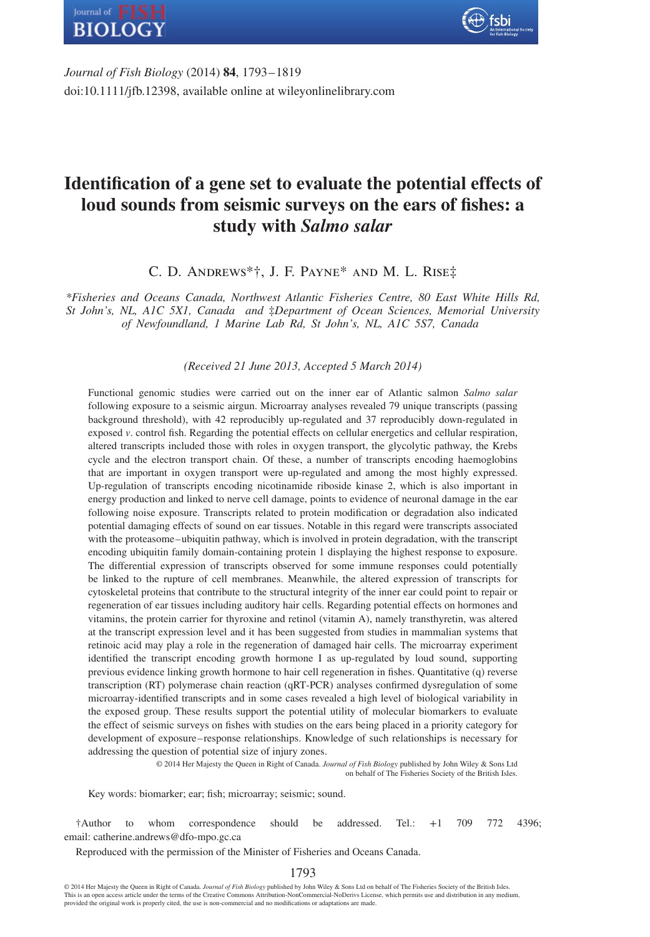



*Journal of Fish Biology* (2014) **84**, 1793–1819 doi:10.1111/jfb.12398, available online at wileyonlinelibrary.com

# **Identification of a gene set to evaluate the potential effects of loud sounds from seismic surveys on the ears of fishes: a study with** *Salmo salar*

C. D. Andrews\*†, J. F. Payne\* and M. L. Rise‡

*\*Fisheries and Oceans Canada, Northwest Atlantic Fisheries Centre, 80 East White Hills Rd, St John's, NL, A1C 5X1, Canada and* ‡*Department of Ocean Sciences, Memorial University of Newfoundland, 1 Marine Lab Rd, St John's, NL, A1C 5S7, Canada*

*(Received 21 June 2013, Accepted 5 March 2014)*

Functional genomic studies were carried out on the inner ear of Atlantic salmon *Salmo salar* following exposure to a seismic airgun. Microarray analyses revealed 79 unique transcripts (passing background threshold), with 42 reproducibly up-regulated and 37 reproducibly down-regulated in exposed *v*. control fish. Regarding the potential effects on cellular energetics and cellular respiration, altered transcripts included those with roles in oxygen transport, the glycolytic pathway, the Krebs cycle and the electron transport chain. Of these, a number of transcripts encoding haemoglobins that are important in oxygen transport were up-regulated and among the most highly expressed. Up-regulation of transcripts encoding nicotinamide riboside kinase 2, which is also important in energy production and linked to nerve cell damage, points to evidence of neuronal damage in the ear following noise exposure. Transcripts related to protein modification or degradation also indicated potential damaging effects of sound on ear tissues. Notable in this regard were transcripts associated with the proteasome–ubiquitin pathway, which is involved in protein degradation, with the transcript encoding ubiquitin family domain-containing protein 1 displaying the highest response to exposure. The differential expression of transcripts observed for some immune responses could potentially be linked to the rupture of cell membranes. Meanwhile, the altered expression of transcripts for cytoskeletal proteins that contribute to the structural integrity of the inner ear could point to repair or regeneration of ear tissues including auditory hair cells. Regarding potential effects on hormones and vitamins, the protein carrier for thyroxine and retinol (vitamin A), namely transthyretin, was altered at the transcript expression level and it has been suggested from studies in mammalian systems that retinoic acid may play a role in the regeneration of damaged hair cells. The microarray experiment identified the transcript encoding growth hormone I as up-regulated by loud sound, supporting previous evidence linking growth hormone to hair cell regeneration in fishes. Quantitative (q) reverse transcription (RT) polymerase chain reaction (qRT-PCR) analyses confirmed dysregulation of some microarray-identified transcripts and in some cases revealed a high level of biological variability in the exposed group. These results support the potential utility of molecular biomarkers to evaluate the effect of seismic surveys on fishes with studies on the ears being placed in a priority category for development of exposure– response relationships. Knowledge of such relationships is necessary for addressing the question of potential size of injury zones.

> © 2014 Her Majesty the Queen in Right of Canada. *Journal of Fish Biology* published by John Wiley & Sons Ltd on behalf of The Fisheries Society of the British Isles.

Key words: biomarker; ear; fish; microarray; seismic; sound.

†Author to whom correspondence should be addressed. Tel.: +1 709 772 4396; email: catherine.andrews@dfo-mpo.gc.ca

Reproduced with the permission of the Minister of Fisheries and Oceans Canada.

1793

© 2014 Her Majesty the Queen in Right of Canada. *Journal of Fish Biology* published by John Wiley & Sons Ltd on behalf of The Fisheries Society of the British Isles. This is an open access article under the terms of the Creative Commons Attribution-NonCommercial-NoDerivs License, which permits use and distribution in any medium, provided the original work is properly cited, the use is non-commercial and no modifications or adaptations are made.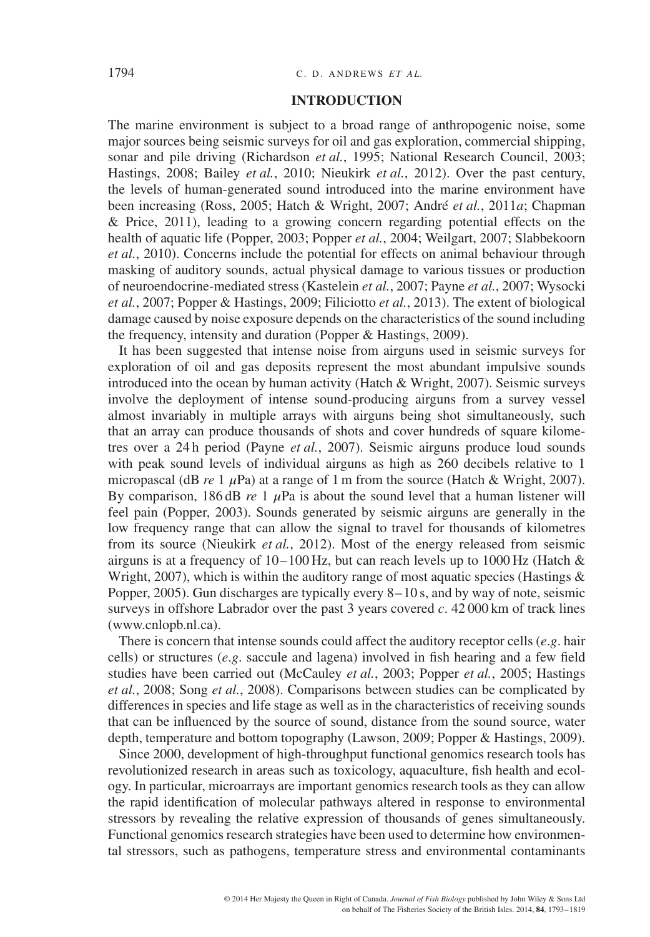#### 1794 C. D. ANDREWS *ET AL*.

#### **INTRODUCTION**

The marine environment is subject to a broad range of anthropogenic noise, some major sources being seismic surveys for oil and gas exploration, commercial shipping, sonar and pile driving (Richardson *et al.*, 1995; National Research Council, 2003; Hastings, 2008; Bailey *et al.*, 2010; Nieukirk *et al.*, 2012). Over the past century, the levels of human-generated sound introduced into the marine environment have been increasing (Ross, 2005; Hatch & Wright, 2007; André *et al.*, 2011*a*; Chapman & Price, 2011), leading to a growing concern regarding potential effects on the health of aquatic life (Popper, 2003; Popper *et al.*, 2004; Weilgart, 2007; Slabbekoorn *et al.*, 2010). Concerns include the potential for effects on animal behaviour through masking of auditory sounds, actual physical damage to various tissues or production of neuroendocrine-mediated stress (Kastelein *et al.*, 2007; Payne *et al.*, 2007; Wysocki *et al.*, 2007; Popper & Hastings, 2009; Filiciotto *et al.*, 2013). The extent of biological damage caused by noise exposure depends on the characteristics of the sound including the frequency, intensity and duration (Popper & Hastings, 2009).

It has been suggested that intense noise from airguns used in seismic surveys for exploration of oil and gas deposits represent the most abundant impulsive sounds introduced into the ocean by human activity (Hatch & Wright, 2007). Seismic surveys involve the deployment of intense sound-producing airguns from a survey vessel almost invariably in multiple arrays with airguns being shot simultaneously, such that an array can produce thousands of shots and cover hundreds of square kilometres over a 24 h period (Payne *et al.*, 2007). Seismic airguns produce loud sounds with peak sound levels of individual airguns as high as 260 decibels relative to 1 micropascal (dB *re* 1  $\mu$ Pa) at a range of 1 m from the source (Hatch & Wright, 2007). By comparison, 186 dB  $re$  1  $\mu$ Pa is about the sound level that a human listener will feel pain (Popper, 2003). Sounds generated by seismic airguns are generally in the low frequency range that can allow the signal to travel for thousands of kilometres from its source (Nieukirk *et al.*, 2012). Most of the energy released from seismic airguns is at a frequency of  $10-100$  Hz, but can reach levels up to  $1000$  Hz (Hatch  $\&$ Wright, 2007), which is within the auditory range of most aquatic species (Hastings  $\&$ Popper, 2005). Gun discharges are typically every 8–10 s, and by way of note, seismic surveys in offshore Labrador over the past 3 years covered *c*. 42 000 km of track lines (www.cnlopb.nl.ca).

There is concern that intense sounds could affect the auditory receptor cells (*e*.*g*. hair cells) or structures (*e*.*g*. saccule and lagena) involved in fish hearing and a few field studies have been carried out (McCauley *et al.*, 2003; Popper *et al.*, 2005; Hastings *et al.*, 2008; Song *et al.*, 2008). Comparisons between studies can be complicated by differences in species and life stage as well as in the characteristics of receiving sounds that can be influenced by the source of sound, distance from the sound source, water depth, temperature and bottom topography (Lawson, 2009; Popper & Hastings, 2009).

Since 2000, development of high-throughput functional genomics research tools has revolutionized research in areas such as toxicology, aquaculture, fish health and ecology. In particular, microarrays are important genomics research tools as they can allow the rapid identification of molecular pathways altered in response to environmental stressors by revealing the relative expression of thousands of genes simultaneously. Functional genomics research strategies have been used to determine how environmental stressors, such as pathogens, temperature stress and environmental contaminants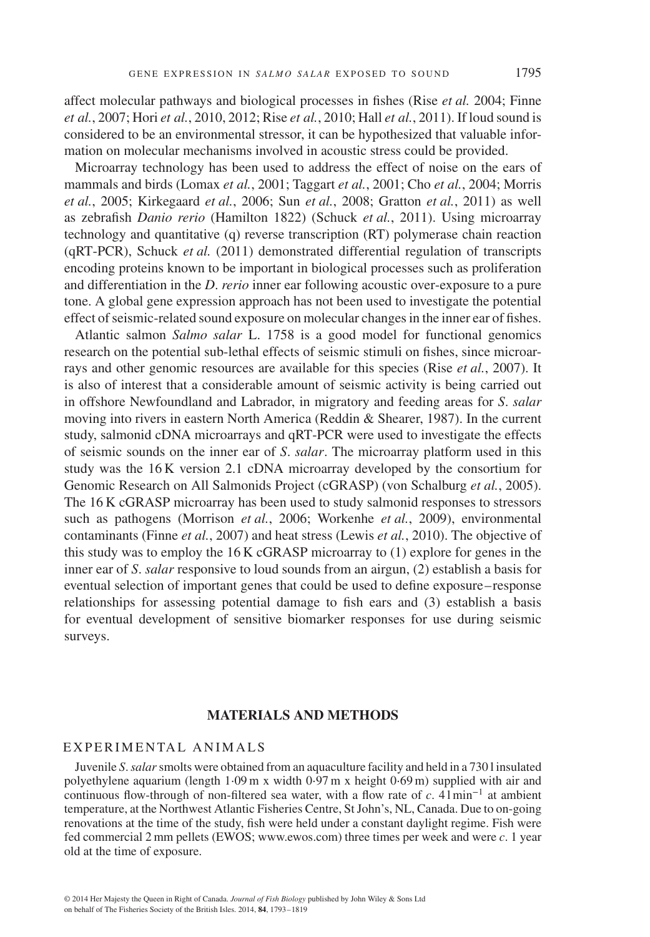affect molecular pathways and biological processes in fishes (Rise *et al.* 2004; Finne *et al.*, 2007; Hori *et al.*, 2010, 2012; Rise *et al.*, 2010; Hall *et al.*, 2011). If loud sound is considered to be an environmental stressor, it can be hypothesized that valuable information on molecular mechanisms involved in acoustic stress could be provided.

Microarray technology has been used to address the effect of noise on the ears of mammals and birds (Lomax *et al.*, 2001; Taggart *et al.*, 2001; Cho *et al.*, 2004; Morris *et al.*, 2005; Kirkegaard *et al.*, 2006; Sun *et al.*, 2008; Gratton *et al.*, 2011) as well as zebrafish *Danio rerio* (Hamilton 1822) (Schuck *et al.*, 2011). Using microarray technology and quantitative (q) reverse transcription (RT) polymerase chain reaction (qRT-PCR), Schuck *et al.* (2011) demonstrated differential regulation of transcripts encoding proteins known to be important in biological processes such as proliferation and differentiation in the *D*. *rerio* inner ear following acoustic over-exposure to a pure tone. A global gene expression approach has not been used to investigate the potential effect of seismic-related sound exposure on molecular changes in the inner ear of fishes.

Atlantic salmon *Salmo salar* L. 1758 is a good model for functional genomics research on the potential sub-lethal effects of seismic stimuli on fishes, since microarrays and other genomic resources are available for this species (Rise *et al.*, 2007). It is also of interest that a considerable amount of seismic activity is being carried out in offshore Newfoundland and Labrador, in migratory and feeding areas for *S*. *salar* moving into rivers in eastern North America (Reddin & Shearer, 1987). In the current study, salmonid cDNA microarrays and qRT-PCR were used to investigate the effects of seismic sounds on the inner ear of *S*. *salar*. The microarray platform used in this study was the 16 K version 2.1 cDNA microarray developed by the consortium for Genomic Research on All Salmonids Project (cGRASP) (von Schalburg *et al.*, 2005). The 16 K cGRASP microarray has been used to study salmonid responses to stressors such as pathogens (Morrison *et al.*, 2006; Workenhe *et al.*, 2009), environmental contaminants (Finne *et al.*, 2007) and heat stress (Lewis *et al.*, 2010). The objective of this study was to employ the 16 K cGRASP microarray to (1) explore for genes in the inner ear of *S*. *salar* responsive to loud sounds from an airgun, (2) establish a basis for eventual selection of important genes that could be used to define exposure– response relationships for assessing potential damage to fish ears and (3) establish a basis for eventual development of sensitive biomarker responses for use during seismic surveys.

# **MATERIALS AND METHODS**

# EXPERIMENTAL ANIMALS

Juvenile *S*.*salar*smolts were obtained from an aquaculture facility and held in a 730 l insulated polyethylene aquarium (length 1⋅09 m x width 0⋅97 m x height 0⋅69 m) supplied with air and continuous flow-through of non-filtered sea water, with a flow rate of *c*. 4 l min<sup>−</sup><sup>1</sup> at ambient temperature, at the Northwest Atlantic Fisheries Centre, St John's, NL, Canada. Due to on-going renovations at the time of the study, fish were held under a constant daylight regime. Fish were fed commercial 2 mm pellets (EWOS; www.ewos.com) three times per week and were *c*. 1 year old at the time of exposure.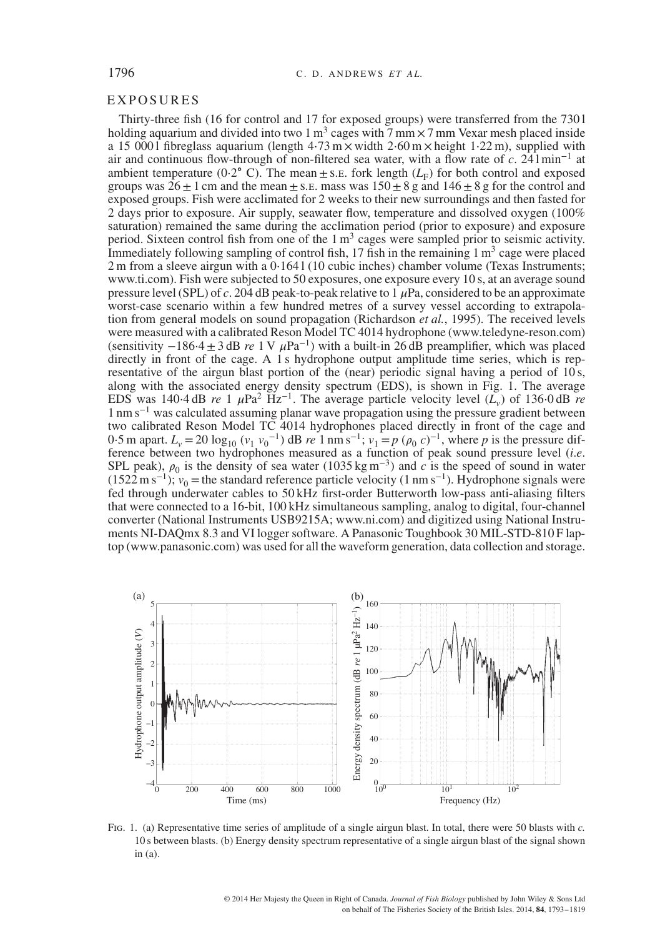#### **EXPOSURES**

Thirty-three fish (16 for control and 17 for exposed groups) were transferred from the 730 l holding aquarium and divided into two 1 m<sup>3</sup> cages with  $7 \text{ mm} \times 7 \text{ mm}$  Vexar mesh placed inside a 15 000 l fibreglass aquarium (length  $4.73 \text{ m} \times$  width  $2.60 \text{ m} \times$  height 1⋅22 m), supplied with air and continuous flow-through of non-filtered sea water, with a flow rate of *c*. 24 l min<sup>−</sup><sup>1</sup> at ambient temperature (0⋅2° C). The mean  $\pm$  s.e. fork length ( $L_F$ ) for both control and exposed groups was  $26 \pm 1$  cm and the mean  $\pm$  s.e. mass was  $150 \pm 8$  g and  $146 \pm 8$  g for the control and exposed groups. Fish were acclimated for 2 weeks to their new surroundings and then fasted for 2 days prior to exposure. Air supply, seawater flow, temperature and dissolved oxygen (100% saturation) remained the same during the acclimation period (prior to exposure) and exposure period. Sixteen control fish from one of the  $1 \text{ m}^3$  cages were sampled prior to seismic activity. Immediately following sampling of control fish,  $17$  fish in the remaining  $1 \text{ m}^3$  cage were placed 2 m from a sleeve airgun with a  $0.1641(10 \text{ cubic inches})$  chamber volume (Texas Instruments; www.ti.com). Fish were subjected to 50 exposures, one exposure every 10 s, at an average sound pressure level (SPL) of *c*. 204 dB peak-to-peak relative to  $\hat{1}$   $\mu$ Pa, considered to be an approximate worst-case scenario within a few hundred metres of a survey vessel according to extrapolation from general models on sound propagation (Richardson *et al.*, 1995). The received levels were measured with a calibrated Reson Model TC 4014 hydrophone (www.teledyne-reson.com) (sensitivity  $-186.4 \pm 3$  dB *re* 1 V  $\mu$ Pa<sup>-1</sup>) with a built-in 26 dB preamplifier, which was placed directly in front of the cage. A 1 s hydrophone output amplitude time series, which is representative of the airgun blast portion of the (near) periodic signal having a period of 10 s, along with the associated energy density spectrum (EDS), is shown in Fig. 1. The average EDS was 140⋅4 dB *re* 1  $\mu$ Pa<sup>2</sup> Hz<sup>-1</sup>. The average particle velocity level ( $L_v$ ) of 136⋅0 dB *re* 1 nm s<sup>−</sup><sup>1</sup> was calculated assuming planar wave propagation using the pressure gradient between two calibrated Reson Model TC 4014 hydrophones placed directly in front of the cage and 0.5 m apart.  $L_v = 20 \log_{10} (v_1 v_0^{-1})$  dB *re* 1 nm s<sup>-1</sup>;  $v_1 = p (\rho_0 c)^{-1}$ , where *p* is the pressure difference between two hydrophones measured as a function of peak sound pressure level (*i*.*e*. SPL peak),  $\rho_0$  is the density of sea water (1035 kg m<sup>-3</sup>) and *c* is the speed of sound in water  $(1522 \text{ m s}^{-1})$ ;  $v_0$  = the standard reference particle velocity (1 nm s<sup>-1</sup>). Hydrophone signals were fed through underwater cables to 50 kHz first-order Butterworth low-pass anti-aliasing filters that were connected to a 16-bit, 100 kHz simultaneous sampling, analog to digital, four-channel converter (National Instruments USB9215A; www.ni.com) and digitized using National Instruments NI-DAQmx 8.3 and VI logger software. A Panasonic Toughbook 30 MIL-STD-810 F laptop (www.panasonic.com) was used for all the waveform generation, data collection and storage.



Fig. 1. (a) Representative time series of amplitude of a single airgun blast. In total, there were 50 blasts with *c.* 10 s between blasts. (b) Energy density spectrum representative of a single airgun blast of the signal shown in (a).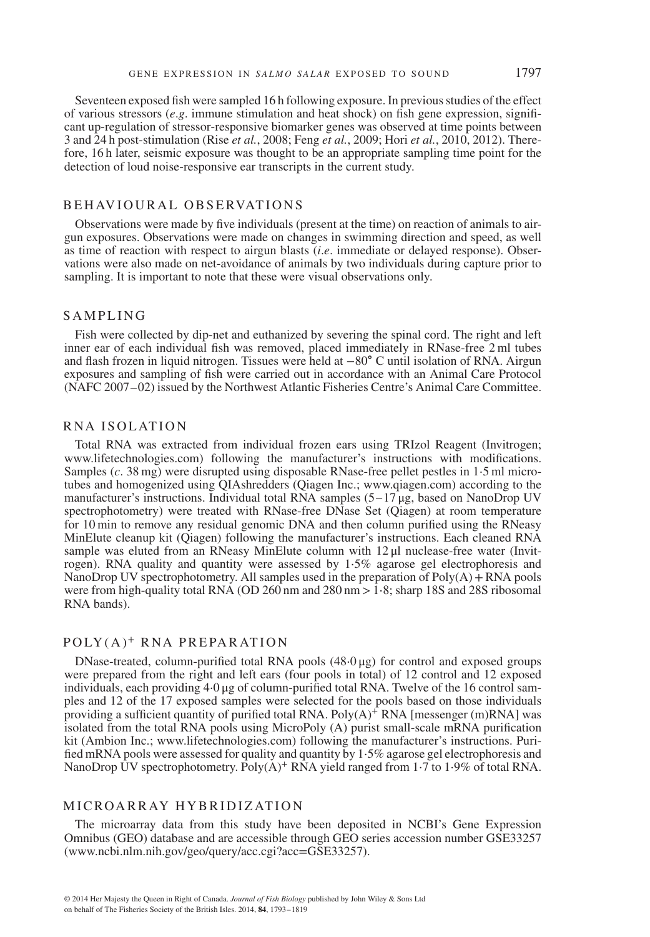Seventeen exposed fish were sampled 16 h following exposure. In previous studies of the effect of various stressors (*e*.*g*. immune stimulation and heat shock) on fish gene expression, significant up-regulation of stressor-responsive biomarker genes was observed at time points between 3 and 24 h post-stimulation (Rise *et al.*, 2008; Feng *et al.*, 2009; Hori *et al.*, 2010, 2012). Therefore, 16 h later, seismic exposure was thought to be an appropriate sampling time point for the detection of loud noise-responsive ear transcripts in the current study.

#### B E HAVIOURAL OBSERVATIONS

Observations were made by five individuals (present at the time) on reaction of animals to airgun exposures. Observations were made on changes in swimming direction and speed, as well as time of reaction with respect to airgun blasts (*i*.*e*. immediate or delayed response). Observations were also made on net-avoidance of animals by two individuals during capture prior to sampling. It is important to note that these were visual observations only.

#### SAMPLING

Fish were collected by dip-net and euthanized by severing the spinal cord. The right and left inner ear of each individual fish was removed, placed immediately in RNase-free 2 ml tubes and flash frozen in liquid nitrogen. Tissues were held at −80∘ C until isolation of RNA. Airgun exposures and sampling of fish were carried out in accordance with an Animal Care Protocol (NAFC 2007–02) issued by the Northwest Atlantic Fisheries Centre's Animal Care Committee.

#### RNA I SOLAT ION

Total RNA was extracted from individual frozen ears using TRIzol Reagent (Invitrogen; www.lifetechnologies.com) following the manufacturer's instructions with modifications. Samples (*c*. 38 mg) were disrupted using disposable RNase-free pellet pestles in 1⋅5 ml microtubes and homogenized using QIAshredders (Qiagen Inc.; www.qiagen.com) according to the manufacturer's instructions. Individual total RNA samples  $(5-17 \mu g,$  based on NanoDrop UV spectrophotometry) were treated with RNase-free DNase Set (Qiagen) at room temperature for 10 min to remove any residual genomic DNA and then column purified using the RNeasy MinElute cleanup kit (Qiagen) following the manufacturer's instructions. Each cleaned RNA sample was eluted from an RNeasy MinElute column with 12 μl nuclease-free water (Invitrogen). RNA quality and quantity were assessed by 1⋅5% agarose gel electrophoresis and NanoDrop UV spectrophotometry. All samples used in the preparation of  $Poly(A) + RNA$  pools were from high-quality total RNA (OD 260 nm and 280 nm *>*1⋅8; sharp 18S and 28S ribosomal RNA bands).

# POLY(A)<sup>+</sup> RNA PREPARATION

DNase-treated, column-purified total RNA pools (48⋅0 μg) for control and exposed groups were prepared from the right and left ears (four pools in total) of 12 control and 12 exposed individuals, each providing 4⋅0 μg of column-purified total RNA. Twelve of the 16 control samples and 12 of the 17 exposed samples were selected for the pools based on those individuals providing a sufficient quantity of purified total RNA. Poly $(A)^+$  RNA [messenger (m)RNA] was isolated from the total RNA pools using MicroPoly (A) purist small-scale mRNA purification kit (Ambion Inc.; www.lifetechnologies.com) following the manufacturer's instructions. Purified mRNA pools were assessed for quality and quantity by 1⋅5% agarose gel electrophoresis and NanoDrop UV spectrophotometry. Poly(A)<sup>+</sup> RNA yield ranged from 1⋅7 to 1⋅9% of total RNA.

#### M ICROARRAY HYBRIDIZATION

The microarray data from this study have been deposited in NCBI's Gene Expression Omnibus (GEO) database and are accessible through GEO series accession number GSE33257 (www.ncbi.nlm.nih.gov/geo/query/acc.cgi?acc=GSE33257).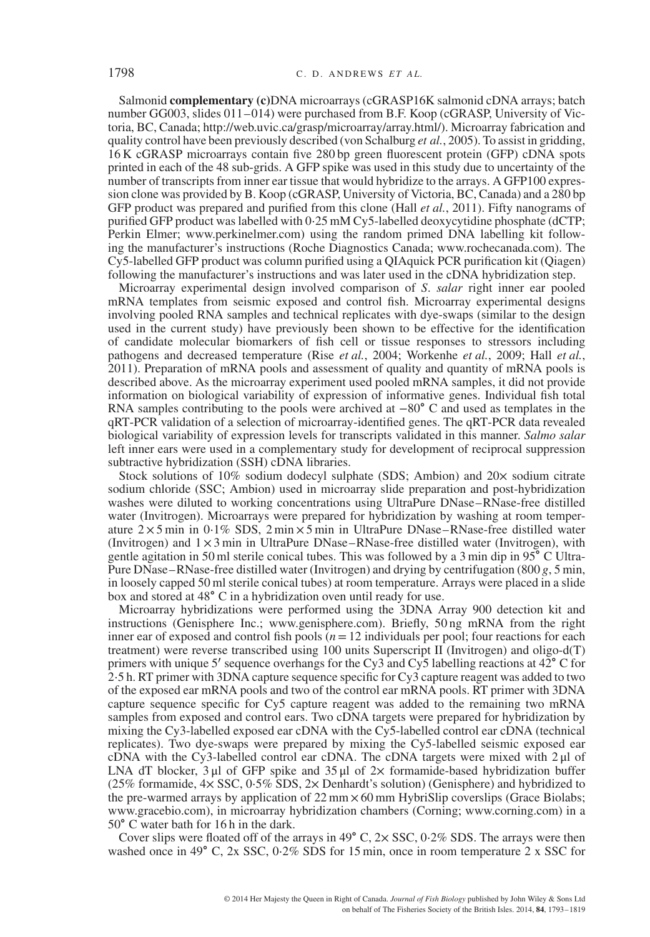Salmonid **complementary (c)**DNA microarrays (cGRASP16K salmonid cDNA arrays; batch number GG003, slides 011–014) were purchased from B.F. Koop (cGRASP, University of Victoria, BC, Canada; http://web.uvic.ca/grasp/microarray/array.html/). Microarray fabrication and quality control have been previously described (von Schalburg *et al.*, 2005). To assist in gridding, 16 K cGRASP microarrays contain five 280 bp green fluorescent protein (GFP) cDNA spots printed in each of the 48 sub-grids. A GFP spike was used in this study due to uncertainty of the number of transcripts from inner ear tissue that would hybridize to the arrays. A GFP100 expression clone was provided by B. Koop (cGRASP, University of Victoria, BC, Canada) and a 280 bp GFP product was prepared and purified from this clone (Hall *et al.*, 2011). Fifty nanograms of purified GFP product was labelled with 0⋅25 mM Cy5-labelled deoxycytidine phosphate (dCTP; Perkin Elmer; www.perkinelmer.com) using the random primed DNA labelling kit following the manufacturer's instructions (Roche Diagnostics Canada; www.rochecanada.com). The Cy5-labelled GFP product was column purified using a QIAquick PCR purification kit (Qiagen) following the manufacturer's instructions and was later used in the cDNA hybridization step.

Microarray experimental design involved comparison of *S*. *salar* right inner ear pooled mRNA templates from seismic exposed and control fish. Microarray experimental designs involving pooled RNA samples and technical replicates with dye-swaps (similar to the design used in the current study) have previously been shown to be effective for the identification of candidate molecular biomarkers of fish cell or tissue responses to stressors including pathogens and decreased temperature (Rise *et al.*, 2004; Workenhe *et al.*, 2009; Hall *et al.*, 2011). Preparation of mRNA pools and assessment of quality and quantity of mRNA pools is described above. As the microarray experiment used pooled mRNA samples, it did not provide information on biological variability of expression of informative genes. Individual fish total RNA samples contributing to the pools were archived at −80∘ C and used as templates in the qRT-PCR validation of a selection of microarray-identified genes. The qRT-PCR data revealed biological variability of expression levels for transcripts validated in this manner. *Salmo salar* left inner ears were used in a complementary study for development of reciprocal suppression subtractive hybridization (SSH) cDNA libraries.

Stock solutions of 10% sodium dodecyl sulphate (SDS; Ambion) and 20× sodium citrate sodium chloride (SSC; Ambion) used in microarray slide preparation and post-hybridization washes were diluted to working concentrations using UltraPure DNase–RNase-free distilled water (Invitrogen). Microarrays were prepared for hybridization by washing at room temperature 2 × 5 min in 0⋅1% SDS, 2 min × 5 min in UltraPure DNase–RNase-free distilled water (Invitrogen) and  $1 \times 3$  min in UltraPure DNase–RNase-free distilled water (Invitrogen), with gentle agitation in 50 ml sterile conical tubes. This was followed by a 3 min dip in 95∘ C Ultra-Pure DNase–RNase-free distilled water (Invitrogen) and drying by centrifugation (800 *g*, 5 min, in loosely capped 50 ml sterile conical tubes) at room temperature. Arrays were placed in a slide box and stored at 48∘ C in a hybridization oven until ready for use.

Microarray hybridizations were performed using the 3DNA Array 900 detection kit and instructions (Genisphere Inc.; www.genisphere.com). Briefly, 50 ng mRNA from the right inner ear of exposed and control fish pools  $(n=12 \text{ individuals per pool};$  four reactions for each treatment) were reverse transcribed using 100 units Superscript II (Invitrogen) and oligo-d(T) primers with unique 5′ sequence overhangs for the Cy3 and Cy5 labelling reactions at  $42^{\circ}$ °C for 2⋅5 h. RT primer with 3DNA capture sequence specific for Cy3 capture reagent was added to two of the exposed ear mRNA pools and two of the control ear mRNA pools. RT primer with 3DNA capture sequence specific for Cy5 capture reagent was added to the remaining two mRNA samples from exposed and control ears. Two cDNA targets were prepared for hybridization by mixing the Cy3-labelled exposed ear cDNA with the Cy5-labelled control ear cDNA (technical replicates). Two dye-swaps were prepared by mixing the Cy5-labelled seismic exposed ear cDNA with the Cy3-labelled control ear cDNA. The cDNA targets were mixed with 2 μl of LNA dT blocker, 3 μl of GFP spike and 35 μl of  $2\times$  formamide-based hybridization buffer (25% formamide, 4× SSC, 0⋅5% SDS, 2× Denhardt's solution) (Genisphere) and hybridized to the pre-warmed arrays by application of  $22 \text{ mm} \times 60 \text{ mm}$  HybriSlip coverslips (Grace Biolabs; www.gracebio.com), in microarray hybridization chambers (Corning; www.corning.com) in a 50∘ C water bath for 16 h in the dark.

Cover slips were floated off of the arrays in 49 $\degree$  C, 2 $\times$  SSC, 0⋅2% SDS. The arrays were then washed once in 49∘ C, 2x SSC, 0⋅2% SDS for 15 min, once in room temperature 2 x SSC for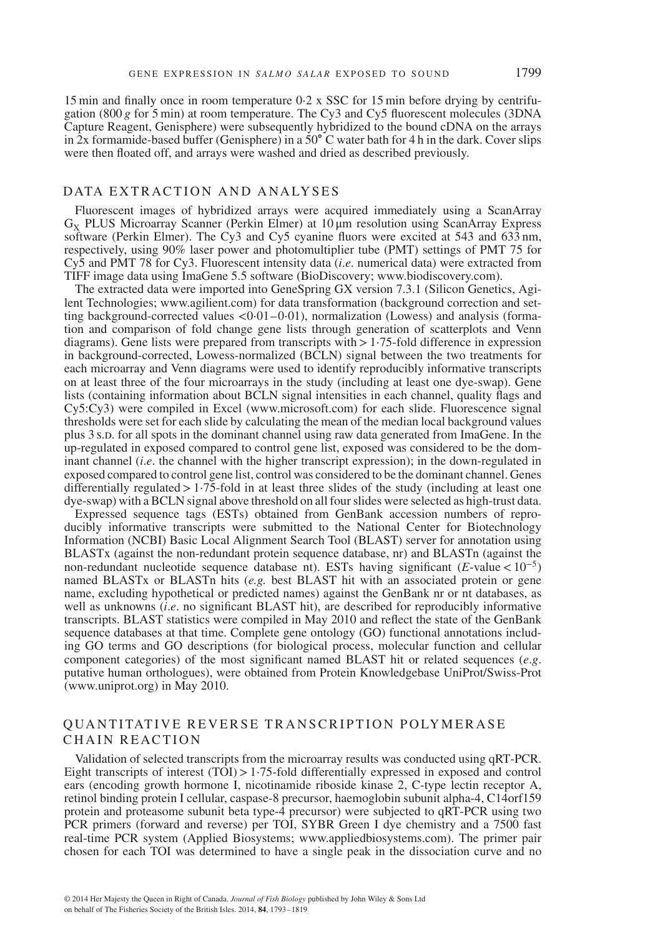15 min and finally once in room temperature 0⋅2 x SSC for 15 min before drying by centrifugation (800 *g* for 5 min) at room temperature. The Cy3 and Cy5 fluorescent molecules (3DNA Capture Reagent, Genisphere) were subsequently hybridized to the bound cDNA on the arrays in 2x formamide-based buffer (Genisphere) in a 50∘ C water bath for 4 h in the dark. Cover slips were then floated off, and arrays were washed and dried as described previously.

## DATA EXTRACTION AND ANALYSES

Fluorescent images of hybridized arrays were acquired immediately using a ScanArray  $G_Y$  PLUS Microarray Scanner (Perkin Elmer) at 10  $\mu$ m resolution using ScanArray Express software (Perkin Elmer). The Cy3 and Cy5 cyanine fluors were excited at 543 and 633 nm, respectively, using 90% laser power and photomultiplier tube (PMT) settings of PMT 75 for Cy5 and PMT 78 for Cy3. Fluorescent intensity data (*i*.*e*. numerical data) were extracted from TIFF image data using ImaGene 5.5 software (BioDiscovery; www.biodiscovery.com).

The extracted data were imported into GeneSpring GX version 7.3.1 (Silicon Genetics, Agilent Technologies; www.agilient.com) for data transformation (background correction and setting background-corrected values *<*0⋅01–0⋅01), normalization (Lowess) and analysis (formation and comparison of fold change gene lists through generation of scatterplots and Venn diagrams). Gene lists were prepared from transcripts with*>*1⋅75-fold difference in expression in background-corrected, Lowess-normalized (BCLN) signal between the two treatments for each microarray and Venn diagrams were used to identify reproducibly informative transcripts on at least three of the four microarrays in the study (including at least one dye-swap). Gene lists (containing information about BCLN signal intensities in each channel, quality flags and Cy5:Cy3) were compiled in Excel (www.microsoft.com) for each slide. Fluorescence signal thresholds were set for each slide by calculating the mean of the median local background values plus 3 s.D. for all spots in the dominant channel using raw data generated from ImaGene. In the up-regulated in exposed compared to control gene list, exposed was considered to be the dominant channel *(i.e.* the channel with the higher transcript expression); in the down-regulated in exposed compared to control gene list, control was considered to be the dominant channel. Genes differentially regulated*>*1⋅75-fold in at least three slides of the study (including at least one dye-swap) with a BCLN signal above threshold on all four slides were selected as high-trust data.

Expressed sequence tags (ESTs) obtained from GenBank accession numbers of reproducibly informative transcripts were submitted to the National Center for Biotechnology Information (NCBI) Basic Local Alignment Search Tool (BLAST) server for annotation using BLASTx (against the non-redundant protein sequence database, nr) and BLASTn (against the non-redundant nucleotide sequence database nt). ESTs having significant (*E*-value*<*10<sup>−</sup>5) named BLASTx or BLASTn hits (*e.g.* best BLAST hit with an associated protein or gene name, excluding hypothetical or predicted names) against the GenBank nr or nt databases, as well as unknowns (*i*.*e*. no significant BLAST hit), are described for reproducibly informative transcripts. BLAST statistics were compiled in May 2010 and reflect the state of the GenBank sequence databases at that time. Complete gene ontology (GO) functional annotations including GO terms and GO descriptions (for biological process, molecular function and cellular component categories) of the most significant named BLAST hit or related sequences (*e*.*g*. putative human orthologues), were obtained from Protein Knowledgebase UniProt/Swiss-Prot (www.uniprot.org) in May 2010.

# QUANTITATIVE REVERSE TRANSCRIPTION POLYMERASE CHAIN REACTION

Validation of selected transcripts from the microarray results was conducted using qRT-PCR. Eight transcripts of interest (TOI)*>*1⋅75-fold differentially expressed in exposed and control ears (encoding growth hormone I, nicotinamide riboside kinase 2, C-type lectin receptor A, retinol binding protein I cellular, caspase-8 precursor, haemoglobin subunit alpha-4, C14orf159 protein and proteasome subunit beta type-4 precursor) were subjected to qRT-PCR using two PCR primers (forward and reverse) per TOI, SYBR Green I dye chemistry and a 7500 fast real-time PCR system (Applied Biosystems; www.appliedbiosystems.com). The primer pair chosen for each TOI was determined to have a single peak in the dissociation curve and no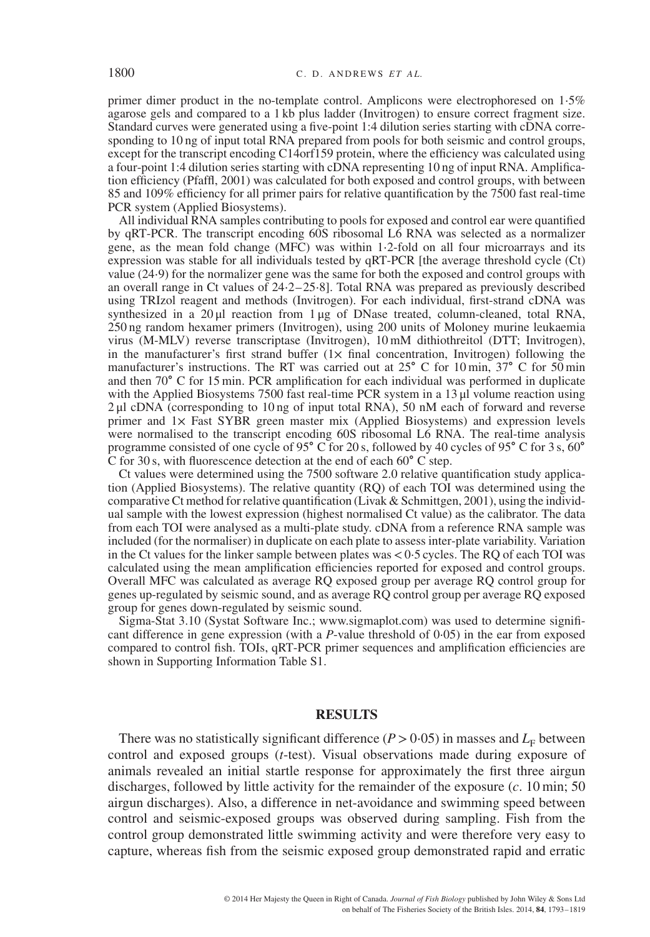primer dimer product in the no-template control. Amplicons were electrophoresed on 1⋅5% agarose gels and compared to a 1 kb plus ladder (Invitrogen) to ensure correct fragment size. Standard curves were generated using a five-point 1:4 dilution series starting with cDNA corresponding to 10 ng of input total RNA prepared from pools for both seismic and control groups, except for the transcript encoding C14orf159 protein, where the efficiency was calculated using a four-point 1:4 dilution series starting with cDNA representing 10 ng of input RNA. Amplification efficiency (Pfaffl, 2001) was calculated for both exposed and control groups, with between 85 and 109% efficiency for all primer pairs for relative quantification by the 7500 fast real-time PCR system (Applied Biosystems).

All individual RNA samples contributing to pools for exposed and control ear were quantified by qRT-PCR. The transcript encoding 60S ribosomal L6 RNA was selected as a normalizer gene, as the mean fold change (MFC) was within 1⋅2-fold on all four microarrays and its expression was stable for all individuals tested by qRT-PCR [the average threshold cycle (Ct) value (24⋅9) for the normalizer gene was the same for both the exposed and control groups with an overall range in Ct values of 24⋅2–25⋅8]. Total RNA was prepared as previously described using TRIzol reagent and methods (Invitrogen). For each individual, first-strand cDNA was synthesized in a  $20 \mu$ l reaction from  $1 \mu$ g of DNase treated, column-cleaned, total RNA, 250 ng random hexamer primers (Invitrogen), using 200 units of Moloney murine leukaemia virus (M-MLV) reverse transcriptase (Invitrogen), 10 mM dithiothreitol (DTT; Invitrogen), in the manufacturer's first strand buffer  $(1 \times$  final concentration, Invitrogen) following the manufacturer's instructions. The RT was carried out at 25∘ C for 10 min, 37∘ C for 50 min and then 70∘ C for 15 min. PCR amplification for each individual was performed in duplicate with the Applied Biosystems 7500 fast real-time PCR system in a 13 μl volume reaction using 2 μl cDNA (corresponding to 10 ng of input total RNA), 50 nM each of forward and reverse primer and 1× Fast SYBR green master mix (Applied Biosystems) and expression levels were normalised to the transcript encoding 60S ribosomal L6 RNA. The real-time analysis programme consisted of one cycle of 95∘ C for 20 s, followed by 40 cycles of 95∘ C for 3 s, 60∘ C for 30 s, with fluorescence detection at the end of each 60∘ C step.

Ct values were determined using the 7500 software 2.0 relative quantification study application (Applied Biosystems). The relative quantity (RQ) of each TOI was determined using the comparative Ct method for relative quantification (Livak & Schmittgen, 2001), using the individual sample with the lowest expression (highest normalised Ct value) as the calibrator. The data from each TOI were analysed as a multi-plate study. cDNA from a reference RNA sample was included (for the normaliser) in duplicate on each plate to assess inter-plate variability. Variation in the Ct values for the linker sample between plates was*<*0⋅5 cycles. The RQ of each TOI was calculated using the mean amplification efficiencies reported for exposed and control groups. Overall MFC was calculated as average RQ exposed group per average RQ control group for genes up-regulated by seismic sound, and as average RQ control group per average RQ exposed group for genes down-regulated by seismic sound.

Sigma-Stat 3.10 (Systat Software Inc.; www.sigmaplot.com) was used to determine significant difference in gene expression (with a *P*-value threshold of 0⋅05) in the ear from exposed compared to control fish. TOIs, qRT-PCR primer sequences and amplification efficiencies are shown in Supporting Information Table S1.

## **RESULTS**

There was no statistically significant difference ( $P > 0.05$ ) in masses and  $L<sub>F</sub>$  between control and exposed groups (*t*-test). Visual observations made during exposure of animals revealed an initial startle response for approximately the first three airgun discharges, followed by little activity for the remainder of the exposure (*c*. 10 min; 50 airgun discharges). Also, a difference in net-avoidance and swimming speed between control and seismic-exposed groups was observed during sampling. Fish from the control group demonstrated little swimming activity and were therefore very easy to capture, whereas fish from the seismic exposed group demonstrated rapid and erratic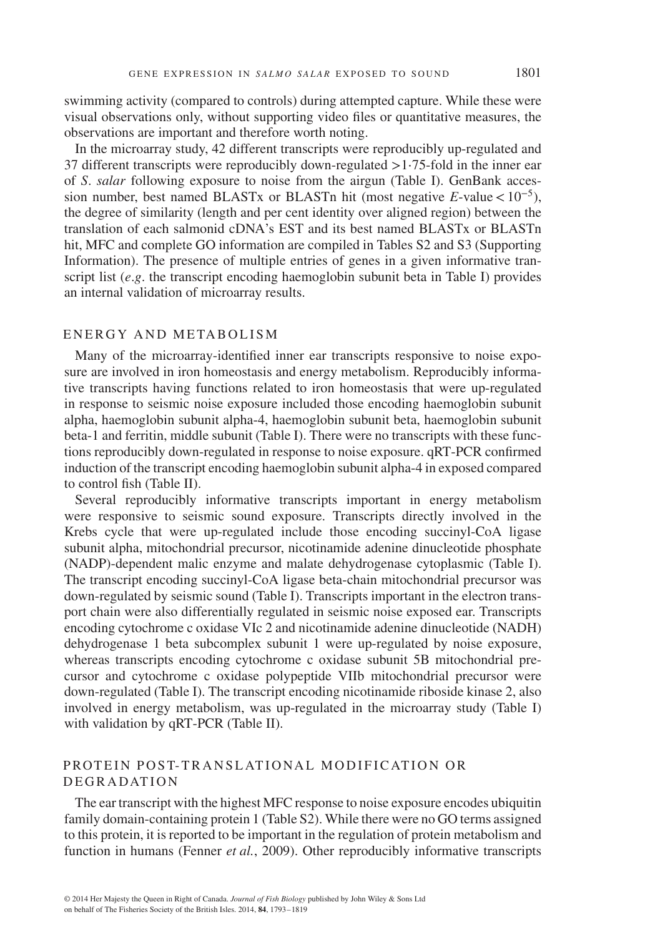swimming activity (compared to controls) during attempted capture. While these were visual observations only, without supporting video files or quantitative measures, the observations are important and therefore worth noting.

In the microarray study, 42 different transcripts were reproducibly up-regulated and 37 different transcripts were reproducibly down-regulated *>*1⋅75-fold in the inner ear of *S*. *salar* following exposure to noise from the airgun (Table I). GenBank accession number, best named BLASTx or BLASTn hit (most negative *E*-value*<*10<sup>−</sup>5), the degree of similarity (length and per cent identity over aligned region) between the translation of each salmonid cDNA's EST and its best named BLASTx or BLASTn hit, MFC and complete GO information are compiled in Tables S2 and S3 (Supporting Information). The presence of multiple entries of genes in a given informative transcript list  $(e, g)$ . the transcript encoding haemoglobin subunit beta in Table I) provides an internal validation of microarray results.

## ENERGY AND METABOLISM

Many of the microarray-identified inner ear transcripts responsive to noise exposure are involved in iron homeostasis and energy metabolism. Reproducibly informative transcripts having functions related to iron homeostasis that were up-regulated in response to seismic noise exposure included those encoding haemoglobin subunit alpha, haemoglobin subunit alpha-4, haemoglobin subunit beta, haemoglobin subunit beta-1 and ferritin, middle subunit (Table I). There were no transcripts with these functions reproducibly down-regulated in response to noise exposure. qRT-PCR confirmed induction of the transcript encoding haemoglobin subunit alpha-4 in exposed compared to control fish (Table II).

Several reproducibly informative transcripts important in energy metabolism were responsive to seismic sound exposure. Transcripts directly involved in the Krebs cycle that were up-regulated include those encoding succinyl-CoA ligase subunit alpha, mitochondrial precursor, nicotinamide adenine dinucleotide phosphate (NADP)-dependent malic enzyme and malate dehydrogenase cytoplasmic (Table I). The transcript encoding succinyl-CoA ligase beta-chain mitochondrial precursor was down-regulated by seismic sound (Table I). Transcripts important in the electron transport chain were also differentially regulated in seismic noise exposed ear. Transcripts encoding cytochrome c oxidase VIc 2 and nicotinamide adenine dinucleotide (NADH) dehydrogenase 1 beta subcomplex subunit 1 were up-regulated by noise exposure, whereas transcripts encoding cytochrome c oxidase subunit 5B mitochondrial precursor and cytochrome c oxidase polypeptide VIIb mitochondrial precursor were down-regulated (Table I). The transcript encoding nicotinamide riboside kinase 2, also involved in energy metabolism, was up-regulated in the microarray study (Table I) with validation by qRT-PCR (Table II).

# PROTEIN POST-TRANSLATIONAL MODIFICATION OR **DEGRADATION**

The ear transcript with the highest MFC response to noise exposure encodes ubiquitin family domain-containing protein 1 (Table S2). While there were no GO terms assigned to this protein, it is reported to be important in the regulation of protein metabolism and function in humans (Fenner *et al.*, 2009). Other reproducibly informative transcripts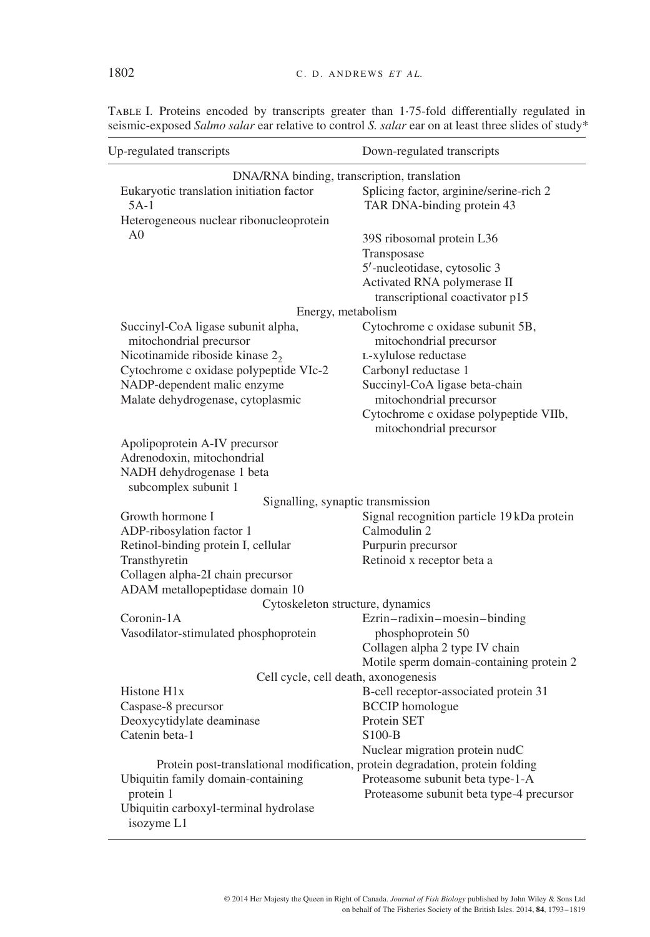| Up-regulated transcripts                                                      | Down-regulated transcripts                 |  |  |  |  |
|-------------------------------------------------------------------------------|--------------------------------------------|--|--|--|--|
| DNA/RNA binding, transcription, translation                                   |                                            |  |  |  |  |
| Eukaryotic translation initiation factor                                      | Splicing factor, arginine/serine-rich 2    |  |  |  |  |
| $5A-1$                                                                        | TAR DNA-binding protein 43                 |  |  |  |  |
| Heterogeneous nuclear ribonucleoprotein                                       |                                            |  |  |  |  |
| A <sub>0</sub>                                                                | 39S ribosomal protein L36                  |  |  |  |  |
|                                                                               | Transposase                                |  |  |  |  |
|                                                                               | 5'-nucleotidase, cytosolic 3               |  |  |  |  |
|                                                                               | Activated RNA polymerase II                |  |  |  |  |
|                                                                               | transcriptional coactivator p15            |  |  |  |  |
| Energy, metabolism                                                            |                                            |  |  |  |  |
| Succinyl-CoA ligase subunit alpha,                                            | Cytochrome c oxidase subunit 5B,           |  |  |  |  |
| mitochondrial precursor                                                       | mitochondrial precursor                    |  |  |  |  |
| Nicotinamide riboside kinase $22$                                             | L-xylulose reductase                       |  |  |  |  |
| Cytochrome c oxidase polypeptide VIc-2                                        | Carbonyl reductase 1                       |  |  |  |  |
| NADP-dependent malic enzyme                                                   | Succinyl-CoA ligase beta-chain             |  |  |  |  |
| Malate dehydrogenase, cytoplasmic                                             | mitochondrial precursor                    |  |  |  |  |
|                                                                               | Cytochrome c oxidase polypeptide VIIb,     |  |  |  |  |
|                                                                               | mitochondrial precursor                    |  |  |  |  |
| Apolipoprotein A-IV precursor                                                 |                                            |  |  |  |  |
| Adrenodoxin, mitochondrial                                                    |                                            |  |  |  |  |
| NADH dehydrogenase 1 beta                                                     |                                            |  |  |  |  |
| subcomplex subunit 1                                                          |                                            |  |  |  |  |
| Signalling, synaptic transmission                                             |                                            |  |  |  |  |
| Growth hormone I                                                              | Signal recognition particle 19 kDa protein |  |  |  |  |
| ADP-ribosylation factor 1                                                     | Calmodulin 2                               |  |  |  |  |
| Retinol-binding protein I, cellular                                           | Purpurin precursor                         |  |  |  |  |
| Transthyretin                                                                 | Retinoid x receptor beta a                 |  |  |  |  |
| Collagen alpha-2I chain precursor                                             |                                            |  |  |  |  |
| ADAM metallopeptidase domain 10                                               |                                            |  |  |  |  |
| Cytoskeleton structure, dynamics                                              |                                            |  |  |  |  |
| Coronin-1A                                                                    | Ezrin-radixin-moesin-binding               |  |  |  |  |
| Vasodilator-stimulated phosphoprotein                                         | phosphoprotein 50                          |  |  |  |  |
|                                                                               | Collagen alpha 2 type IV chain             |  |  |  |  |
|                                                                               | Motile sperm domain-containing protein 2   |  |  |  |  |
| Cell cycle, cell death, axonogenesis                                          |                                            |  |  |  |  |
| Histone H1x                                                                   | B-cell receptor-associated protein 31      |  |  |  |  |
| Caspase-8 precursor                                                           | <b>BCCIP</b> homologue                     |  |  |  |  |
| Deoxycytidylate deaminase                                                     | Protein SET                                |  |  |  |  |
| Catenin beta-1                                                                | $S100-B$                                   |  |  |  |  |
|                                                                               | Nuclear migration protein nudC             |  |  |  |  |
| Protein post-translational modification, protein degradation, protein folding |                                            |  |  |  |  |
| Ubiquitin family domain-containing                                            | Proteasome subunit beta type-1-A           |  |  |  |  |
| protein 1                                                                     | Proteasome subunit beta type-4 precursor   |  |  |  |  |
| Ubiquitin carboxyl-terminal hydrolase                                         |                                            |  |  |  |  |
| isozyme L1                                                                    |                                            |  |  |  |  |

TABLE I. Proteins encoded by transcripts greater than 1⋅75-fold differentially regulated in seismic-exposed *Salmo salar* ear relative to control *S. salar* ear on at least three slides of study\*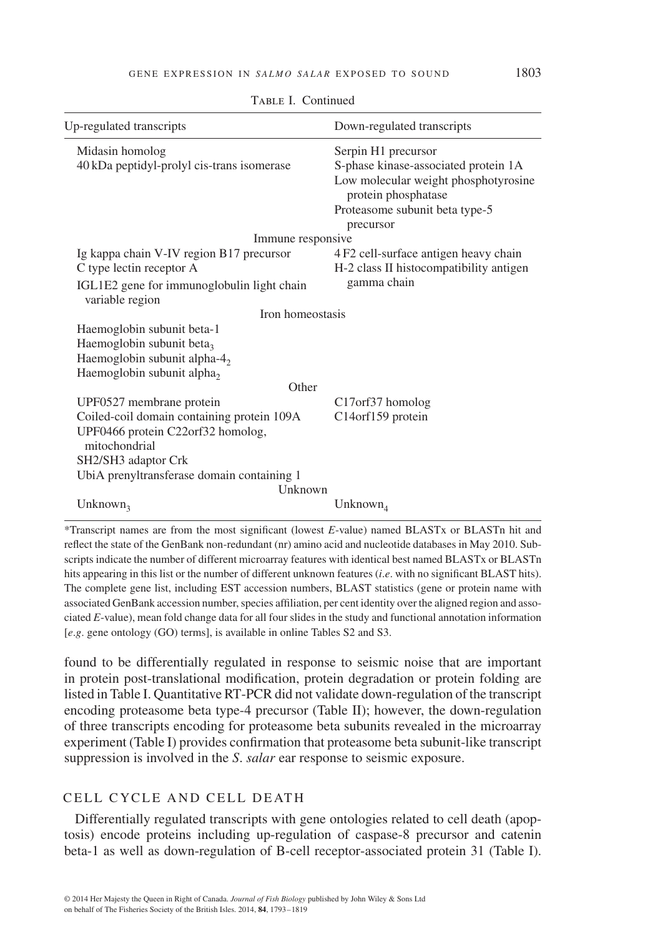TABLE I. Continued

| Up-regulated transcripts                                                                                                                                                                                     | Down-regulated transcripts                                                                                                                                                |  |  |  |  |  |
|--------------------------------------------------------------------------------------------------------------------------------------------------------------------------------------------------------------|---------------------------------------------------------------------------------------------------------------------------------------------------------------------------|--|--|--|--|--|
| Midasin homolog<br>40 kDa peptidyl-prolyl cis-trans isomerase                                                                                                                                                | Serpin H1 precursor<br>S-phase kinase-associated protein 1A<br>Low molecular weight phosphotyrosine<br>protein phosphatase<br>Proteasome subunit beta type-5<br>precursor |  |  |  |  |  |
| Immune responsive                                                                                                                                                                                            |                                                                                                                                                                           |  |  |  |  |  |
| Ig kappa chain V-IV region B17 precursor                                                                                                                                                                     | 4 F2 cell-surface antigen heavy chain                                                                                                                                     |  |  |  |  |  |
| C type lectin receptor A                                                                                                                                                                                     | H-2 class II histocompatibility antigen                                                                                                                                   |  |  |  |  |  |
| IGL1E2 gene for immunoglobulin light chain<br>variable region                                                                                                                                                | gamma chain                                                                                                                                                               |  |  |  |  |  |
| Iron homeostasis                                                                                                                                                                                             |                                                                                                                                                                           |  |  |  |  |  |
| Haemoglobin subunit beta-1<br>Haemoglobin subunit beta <sub>3</sub><br>Haemoglobin subunit alpha- $42$<br>Haemoglobin subunit alpha <sub>2</sub>                                                             |                                                                                                                                                                           |  |  |  |  |  |
| Other                                                                                                                                                                                                        |                                                                                                                                                                           |  |  |  |  |  |
| UPF0527 membrane protein<br>Coiled-coil domain containing protein 109A<br>UPF0466 protein C22orf32 homolog,<br>mitochondrial<br>SH2/SH3 adaptor Crk<br>UbiA prenyltransferase domain containing 1<br>Unknown | C <sub>17</sub> or 637 homolog<br>C14orf159 protein                                                                                                                       |  |  |  |  |  |
| Unknown <sub>3</sub>                                                                                                                                                                                         | Unknown <sub>4</sub>                                                                                                                                                      |  |  |  |  |  |

\*Transcript names are from the most significant (lowest *E*-value) named BLASTx or BLASTn hit and reflect the state of the GenBank non-redundant (nr) amino acid and nucleotide databases in May 2010. Subscripts indicate the number of different microarray features with identical best named BLASTx or BLASTn hits appearing in this list or the number of different unknown features (*i*.*e*. with no significant BLAST hits). The complete gene list, including EST accession numbers, BLAST statistics (gene or protein name with associated GenBank accession number, species affiliation, per cent identity over the aligned region and associated *E*-value), mean fold change data for all four slides in the study and functional annotation information [*e*.*g*. gene ontology (GO) terms], is available in online Tables S2 and S3.

found to be differentially regulated in response to seismic noise that are important in protein post-translational modification, protein degradation or protein folding are listed in Table I. Quantitative RT-PCR did not validate down-regulation of the transcript encoding proteasome beta type-4 precursor (Table II); however, the down-regulation of three transcripts encoding for proteasome beta subunits revealed in the microarray experiment (Table I) provides confirmation that proteasome beta subunit-like transcript suppression is involved in the *S*. *salar* ear response to seismic exposure.

# CELL CYCLE AND CELL DEATH

Differentially regulated transcripts with gene ontologies related to cell death (apoptosis) encode proteins including up-regulation of caspase-8 precursor and catenin beta-1 as well as down-regulation of B-cell receptor-associated protein 31 (Table I).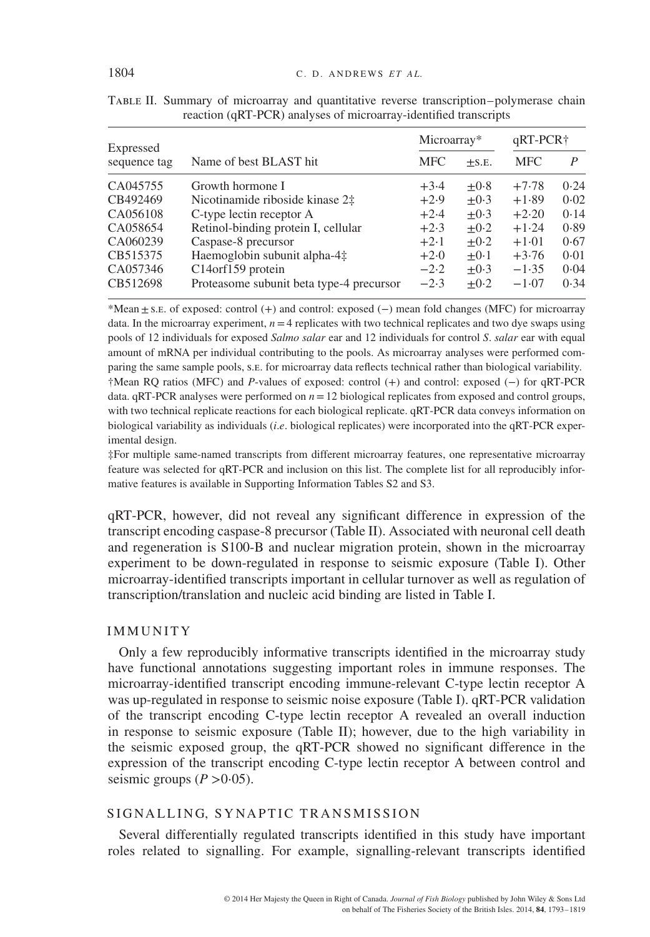| Expressed<br>sequence tag | Name of best BLAST hit                   | Microarray* |            | $qRT-PCR$ † |      |
|---------------------------|------------------------------------------|-------------|------------|-------------|------|
|                           |                                          | <b>MFC</b>  | $\pm$ S.E. | <b>MFC</b>  | P    |
| CA045755                  | Growth hormone I                         | $+3.4$      | $+0.8$     | $+7.78$     | 0.24 |
| CB492469                  | Nicotinamide riboside kinase 2‡          | $+2.9$      | $+0.3$     | $+1.89$     | 0.02 |
| CA056108                  | C-type lectin receptor A                 | $+2.4$      | $+0.3$     | $+2.20$     | 0.14 |
| CA058654                  | Retinol-binding protein I, cellular      | $+2.3$      | $+0.2$     | $+1.24$     | 0.89 |
| CA060239                  | Caspase-8 precursor                      | $+2.1$      | $+0.2$     | $+1.01$     | 0.67 |
| CB515375                  | Haemoglobin subunit alpha-4‡             | $+2.0$      | $+0.1$     | $+3.76$     | 0.01 |
| CA057346                  | C14orf159 protein                        | $-2.2$      | $+0.3$     | $-1.35$     | 0.04 |
| CB512698                  | Proteasome subunit beta type-4 precursor | $-2.3$      | $+0.2$     | $-1.07$     | 0.34 |

Table II. Summary of microarray and quantitative reverse transcription–polymerase chain reaction (qRT-PCR) analyses of microarray-identified transcripts

\*Mean±s.e. of exposed: control (+) and control: exposed (−) mean fold changes (MFC) for microarray data. In the microarray experiment,  $n=4$  replicates with two technical replicates and two dye swaps using pools of 12 individuals for exposed *Salmo salar* ear and 12 individuals for control *S*. *salar* ear with equal amount of mRNA per individual contributing to the pools. As microarray analyses were performed comparing the same sample pools, s.e. for microarray data reflects technical rather than biological variability. †Mean RQ ratios (MFC) and *P*-values of exposed: control (+) and control: exposed (−) for qRT-PCR data.  $qRT-PCR$  analyses were performed on  $n=12$  biological replicates from exposed and control groups, with two technical replicate reactions for each biological replicate. qRT-PCR data conveys information on biological variability as individuals (*i*.*e*. biological replicates) were incorporated into the qRT-PCR experimental design.

‡For multiple same-named transcripts from different microarray features, one representative microarray feature was selected for qRT-PCR and inclusion on this list. The complete list for all reproducibly informative features is available in Supporting Information Tables S2 and S3.

qRT-PCR, however, did not reveal any significant difference in expression of the transcript encoding caspase-8 precursor (Table II). Associated with neuronal cell death and regeneration is S100-B and nuclear migration protein, shown in the microarray experiment to be down-regulated in response to seismic exposure (Table I). Other microarray-identified transcripts important in cellular turnover as well as regulation of transcription/translation and nucleic acid binding are listed in Table I.

## IMMUNITY

Only a few reproducibly informative transcripts identified in the microarray study have functional annotations suggesting important roles in immune responses. The microarray-identified transcript encoding immune-relevant C-type lectin receptor A was up-regulated in response to seismic noise exposure (Table I). qRT-PCR validation of the transcript encoding C-type lectin receptor A revealed an overall induction in response to seismic exposure (Table II); however, due to the high variability in the seismic exposed group, the qRT-PCR showed no significant difference in the expression of the transcript encoding C-type lectin receptor A between control and seismic groups  $(P > 0.05)$ .

## SIGNALLING, SYNAPTIC TRANSMISSION

Several differentially regulated transcripts identified in this study have important roles related to signalling. For example, signalling-relevant transcripts identified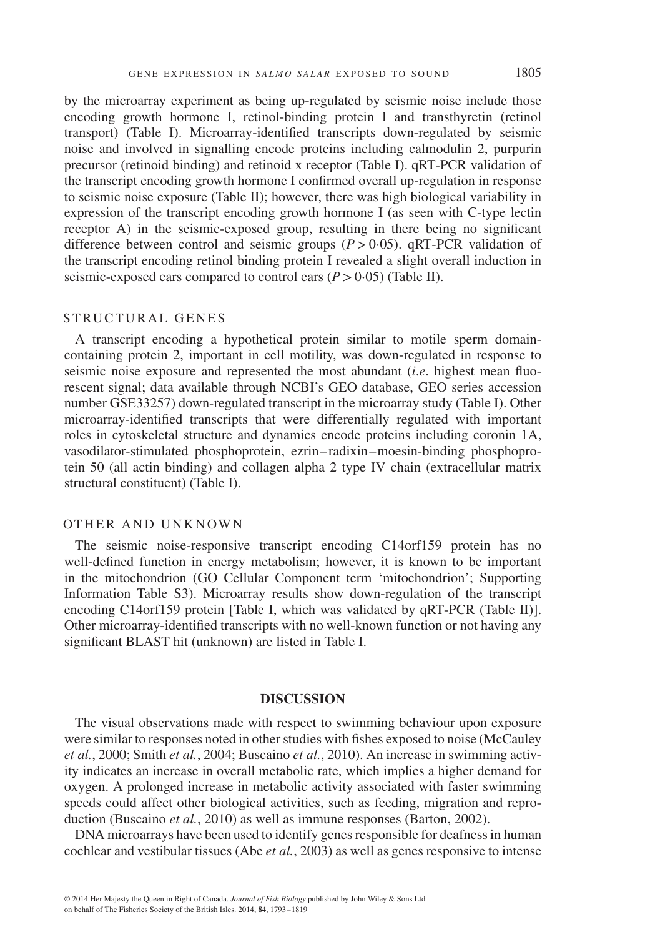by the microarray experiment as being up-regulated by seismic noise include those encoding growth hormone I, retinol-binding protein I and transthyretin (retinol transport) (Table I). Microarray-identified transcripts down-regulated by seismic noise and involved in signalling encode proteins including calmodulin 2, purpurin precursor (retinoid binding) and retinoid x receptor (Table I). qRT-PCR validation of the transcript encoding growth hormone I confirmed overall up-regulation in response to seismic noise exposure (Table II); however, there was high biological variability in expression of the transcript encoding growth hormone I (as seen with C-type lectin receptor A) in the seismic-exposed group, resulting in there being no significant difference between control and seismic groups  $(P > 0.05)$ .  $qRT-PCR$  validation of the transcript encoding retinol binding protein I revealed a slight overall induction in seismic-exposed ears compared to control ears (*P>*0⋅05) (Table II).

#### STRUCTURAL GENES

A transcript encoding a hypothetical protein similar to motile sperm domaincontaining protein 2, important in cell motility, was down-regulated in response to seismic noise exposure and represented the most abundant (*i*.*e*. highest mean fluorescent signal; data available through NCBI's GEO database, GEO series accession number GSE33257) down-regulated transcript in the microarray study (Table I). Other microarray-identified transcripts that were differentially regulated with important roles in cytoskeletal structure and dynamics encode proteins including coronin 1A, vasodilator-stimulated phosphoprotein, ezrin– radixin–moesin-binding phosphoprotein 50 (all actin binding) and collagen alpha 2 type IV chain (extracellular matrix structural constituent) (Table I).

#### OTHER AND UNKNOWN

The seismic noise-responsive transcript encoding C14orf159 protein has no well-defined function in energy metabolism; however, it is known to be important in the mitochondrion (GO Cellular Component term 'mitochondrion'; Supporting Information Table S3). Microarray results show down-regulation of the transcript encoding C14orf159 protein [Table I, which was validated by qRT-PCR (Table II)]. Other microarray-identified transcripts with no well-known function or not having any significant BLAST hit (unknown) are listed in Table I.

#### **DISCUSSION**

The visual observations made with respect to swimming behaviour upon exposure were similar to responses noted in other studies with fishes exposed to noise (McCauley *et al.*, 2000; Smith *et al.*, 2004; Buscaino *et al.*, 2010). An increase in swimming activity indicates an increase in overall metabolic rate, which implies a higher demand for oxygen. A prolonged increase in metabolic activity associated with faster swimming speeds could affect other biological activities, such as feeding, migration and reproduction (Buscaino *et al.*, 2010) as well as immune responses (Barton, 2002).

DNA microarrays have been used to identify genes responsible for deafness in human cochlear and vestibular tissues (Abe *et al.*, 2003) as well as genes responsive to intense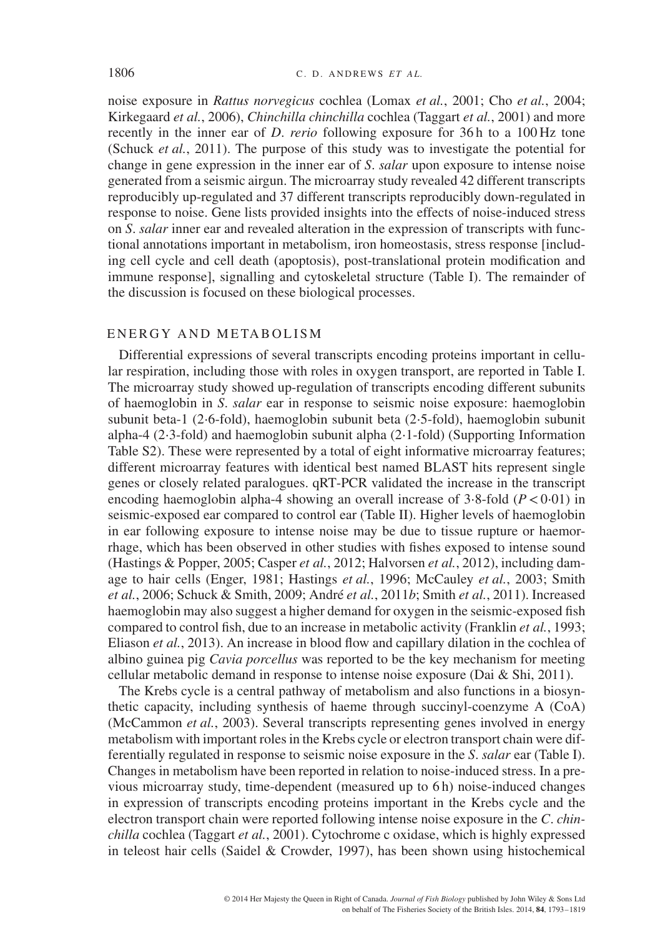noise exposure in *Rattus norvegicus* cochlea (Lomax *et al.*, 2001; Cho *et al.*, 2004; Kirkegaard *et al.*, 2006), *Chinchilla chinchilla* cochlea (Taggart *et al.*, 2001) and more recently in the inner ear of *D*. *rerio* following exposure for 36 h to a 100 Hz tone (Schuck *et al.*, 2011). The purpose of this study was to investigate the potential for change in gene expression in the inner ear of *S*. *salar* upon exposure to intense noise generated from a seismic airgun. The microarray study revealed 42 different transcripts reproducibly up-regulated and 37 different transcripts reproducibly down-regulated in response to noise. Gene lists provided insights into the effects of noise-induced stress on *S*. *salar* inner ear and revealed alteration in the expression of transcripts with functional annotations important in metabolism, iron homeostasis, stress response [including cell cycle and cell death (apoptosis), post-translational protein modification and immune response], signalling and cytoskeletal structure (Table I). The remainder of the discussion is focused on these biological processes.

## ENERGY AND METABOLISM

Differential expressions of several transcripts encoding proteins important in cellular respiration, including those with roles in oxygen transport, are reported in Table I. The microarray study showed up-regulation of transcripts encoding different subunits of haemoglobin in *S*. *salar* ear in response to seismic noise exposure: haemoglobin subunit beta-1 (2⋅6-fold), haemoglobin subunit beta (2⋅5-fold), haemoglobin subunit alpha-4 (2⋅3-fold) and haemoglobin subunit alpha (2⋅1-fold) (Supporting Information Table S2). These were represented by a total of eight informative microarray features; different microarray features with identical best named BLAST hits represent single genes or closely related paralogues. qRT-PCR validated the increase in the transcript encoding haemoglobin alpha-4 showing an overall increase of 3⋅8-fold (*P<*0⋅01) in seismic-exposed ear compared to control ear (Table II). Higher levels of haemoglobin in ear following exposure to intense noise may be due to tissue rupture or haemorrhage, which has been observed in other studies with fishes exposed to intense sound (Hastings & Popper, 2005; Casper *et al.*, 2012; Halvorsen *et al.*, 2012), including damage to hair cells (Enger, 1981; Hastings *et al.*, 1996; McCauley *et al.*, 2003; Smith *et al.*, 2006; Schuck & Smith, 2009; André *et al.*, 2011*b*; Smith *et al.*, 2011). Increased haemoglobin may also suggest a higher demand for oxygen in the seismic-exposed fish compared to control fish, due to an increase in metabolic activity (Franklin *et al.*, 1993; Eliason *et al.*, 2013). An increase in blood flow and capillary dilation in the cochlea of albino guinea pig *Cavia porcellus* was reported to be the key mechanism for meeting cellular metabolic demand in response to intense noise exposure (Dai & Shi, 2011).

The Krebs cycle is a central pathway of metabolism and also functions in a biosynthetic capacity, including synthesis of haeme through succinyl-coenzyme A (CoA) (McCammon *et al.*, 2003). Several transcripts representing genes involved in energy metabolism with important roles in the Krebs cycle or electron transport chain were differentially regulated in response to seismic noise exposure in the *S*. *salar* ear (Table I). Changes in metabolism have been reported in relation to noise-induced stress. In a previous microarray study, time-dependent (measured up to 6 h) noise-induced changes in expression of transcripts encoding proteins important in the Krebs cycle and the electron transport chain were reported following intense noise exposure in the *C*. *chinchilla* cochlea (Taggart *et al.*, 2001). Cytochrome c oxidase, which is highly expressed in teleost hair cells (Saidel & Crowder, 1997), has been shown using histochemical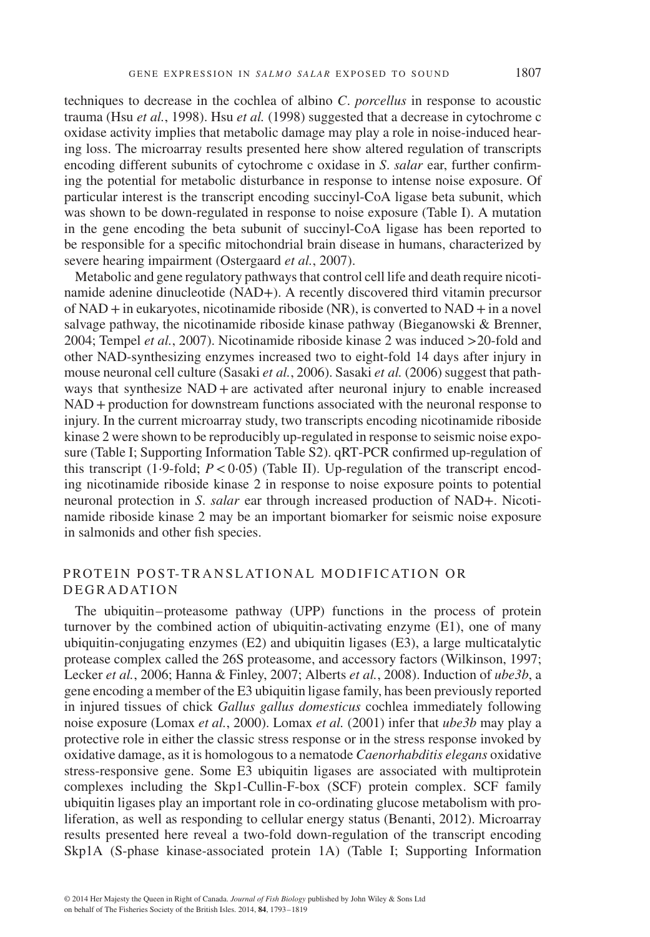techniques to decrease in the cochlea of albino *C*. *porcellus* in response to acoustic trauma (Hsu *et al.*, 1998). Hsu *et al.* (1998) suggested that a decrease in cytochrome c oxidase activity implies that metabolic damage may play a role in noise-induced hearing loss. The microarray results presented here show altered regulation of transcripts encoding different subunits of cytochrome c oxidase in *S*. *salar* ear, further confirming the potential for metabolic disturbance in response to intense noise exposure. Of particular interest is the transcript encoding succinyl-CoA ligase beta subunit, which was shown to be down-regulated in response to noise exposure (Table I). A mutation in the gene encoding the beta subunit of succinyl-CoA ligase has been reported to be responsible for a specific mitochondrial brain disease in humans, characterized by severe hearing impairment (Ostergaard *et al.*, 2007).

Metabolic and gene regulatory pathways that control cell life and death require nicotinamide adenine dinucleotide (NAD+). A recently discovered third vitamin precursor of  $NAD + in$  eukaryotes, nicotinamide riboside  $(NR)$ , is converted to  $NAD + in$  a novel salvage pathway, the nicotinamide riboside kinase pathway (Bieganowski & Brenner, 2004; Tempel *et al.*, 2007). Nicotinamide riboside kinase 2 was induced *>*20-fold and other NAD-synthesizing enzymes increased two to eight-fold 14 days after injury in mouse neuronal cell culture (Sasaki *et al.*, 2006). Sasaki *et al.* (2006) suggest that pathways that synthesize NAD +are activated after neuronal injury to enable increased NAD +production for downstream functions associated with the neuronal response to injury. In the current microarray study, two transcripts encoding nicotinamide riboside kinase 2 were shown to be reproducibly up-regulated in response to seismic noise exposure (Table I; Supporting Information Table S2). qRT-PCR confirmed up-regulation of this transcript (1⋅9-fold; *P<*0⋅05) (Table II). Up-regulation of the transcript encoding nicotinamide riboside kinase 2 in response to noise exposure points to potential neuronal protection in *S*. *salar* ear through increased production of NAD+. Nicotinamide riboside kinase 2 may be an important biomarker for seismic noise exposure in salmonids and other fish species.

# PROTEIN POST-TRANSLATIONAL MODIFICATION OR **DEGRADATION**

The ubiquitin–proteasome pathway (UPP) functions in the process of protein turnover by the combined action of ubiquitin-activating enzyme (E1), one of many ubiquitin-conjugating enzymes (E2) and ubiquitin ligases (E3), a large multicatalytic protease complex called the 26S proteasome, and accessory factors (Wilkinson, 1997; Lecker *et al.*, 2006; Hanna & Finley, 2007; Alberts *et al.*, 2008). Induction of *ube3b*, a gene encoding a member of the E3 ubiquitin ligase family, has been previously reported in injured tissues of chick *Gallus gallus domesticus* cochlea immediately following noise exposure (Lomax *et al.*, 2000). Lomax *et al.* (2001) infer that *ube3b* may play a protective role in either the classic stress response or in the stress response invoked by oxidative damage, as it is homologous to a nematode *Caenorhabditis elegans* oxidative stress-responsive gene. Some E3 ubiquitin ligases are associated with multiprotein complexes including the Skp1-Cullin-F-box (SCF) protein complex. SCF family ubiquitin ligases play an important role in co-ordinating glucose metabolism with proliferation, as well as responding to cellular energy status (Benanti, 2012). Microarray results presented here reveal a two-fold down-regulation of the transcript encoding Skp1A (S-phase kinase-associated protein 1A) (Table I; Supporting Information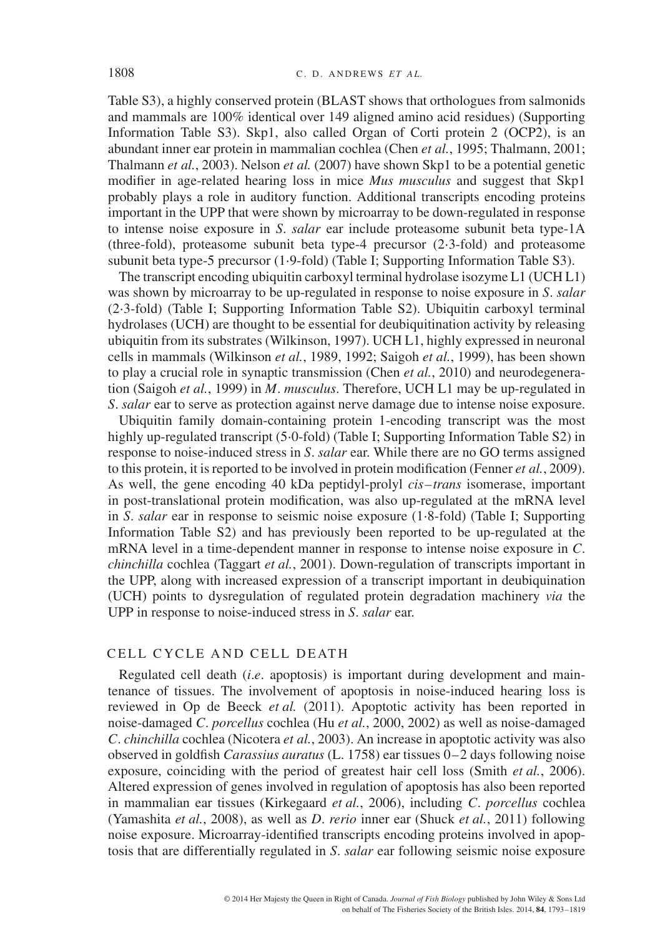Table S3), a highly conserved protein (BLAST shows that orthologues from salmonids and mammals are 100% identical over 149 aligned amino acid residues) (Supporting Information Table S3). Skp1, also called Organ of Corti protein 2 (OCP2), is an abundant inner ear protein in mammalian cochlea (Chen *et al.*, 1995; Thalmann, 2001; Thalmann *et al.*, 2003). Nelson *et al.* (2007) have shown Skp1 to be a potential genetic modifier in age-related hearing loss in mice *Mus musculus* and suggest that Skp1 probably plays a role in auditory function. Additional transcripts encoding proteins important in the UPP that were shown by microarray to be down-regulated in response to intense noise exposure in *S*. *salar* ear include proteasome subunit beta type-1A (three-fold), proteasome subunit beta type-4 precursor (2⋅3-fold) and proteasome subunit beta type-5 precursor (1⋅9-fold) (Table I; Supporting Information Table S3).

The transcript encoding ubiquitin carboxyl terminal hydrolase isozyme L1 (UCH L1) was shown by microarray to be up-regulated in response to noise exposure in *S*. *salar* (2⋅3-fold) (Table I; Supporting Information Table S2). Ubiquitin carboxyl terminal hydrolases (UCH) are thought to be essential for deubiquitination activity by releasing ubiquitin from its substrates (Wilkinson, 1997). UCH L1, highly expressed in neuronal cells in mammals (Wilkinson *et al.*, 1989, 1992; Saigoh *et al.*, 1999), has been shown to play a crucial role in synaptic transmission (Chen *et al.*, 2010) and neurodegeneration (Saigoh *et al.*, 1999) in *M*. *musculus*. Therefore, UCH L1 may be up-regulated in *S*. *salar* ear to serve as protection against nerve damage due to intense noise exposure.

Ubiquitin family domain-containing protein 1-encoding transcript was the most highly up-regulated transcript (5⋅0-fold) (Table I; Supporting Information Table S2) in response to noise-induced stress in *S*. *salar* ear. While there are no GO terms assigned to this protein, it is reported to be involved in protein modification (Fenner *et al.*, 2009). As well, the gene encoding 40 kDa peptidyl-prolyl *cis–trans* isomerase, important in post-translational protein modification, was also up-regulated at the mRNA level in *S*. *salar* ear in response to seismic noise exposure (1⋅8-fold) (Table I; Supporting Information Table S2) and has previously been reported to be up-regulated at the mRNA level in a time-dependent manner in response to intense noise exposure in *C*. *chinchilla* cochlea (Taggart *et al.*, 2001). Down-regulation of transcripts important in the UPP, along with increased expression of a transcript important in deubiquination (UCH) points to dysregulation of regulated protein degradation machinery *via* the UPP in response to noise-induced stress in *S*. *salar* ear.

# CELL CYCLE AND CELL DEATH

Regulated cell death (*i*.*e*. apoptosis) is important during development and maintenance of tissues. The involvement of apoptosis in noise-induced hearing loss is reviewed in Op de Beeck *et al.* (2011). Apoptotic activity has been reported in noise-damaged *C*. *porcellus* cochlea (Hu *et al.*, 2000, 2002) as well as noise-damaged *C*. *chinchilla* cochlea (Nicotera *et al.*, 2003). An increase in apoptotic activity was also observed in goldfish *Carassius auratus* (L. 1758) ear tissues 0–2 days following noise exposure, coinciding with the period of greatest hair cell loss (Smith *et al.*, 2006). Altered expression of genes involved in regulation of apoptosis has also been reported in mammalian ear tissues (Kirkegaard *et al.*, 2006), including *C*. *porcellus* cochlea (Yamashita *et al.*, 2008), as well as *D*. *rerio* inner ear (Shuck *et al.*, 2011) following noise exposure. Microarray-identified transcripts encoding proteins involved in apoptosis that are differentially regulated in *S*. *salar* ear following seismic noise exposure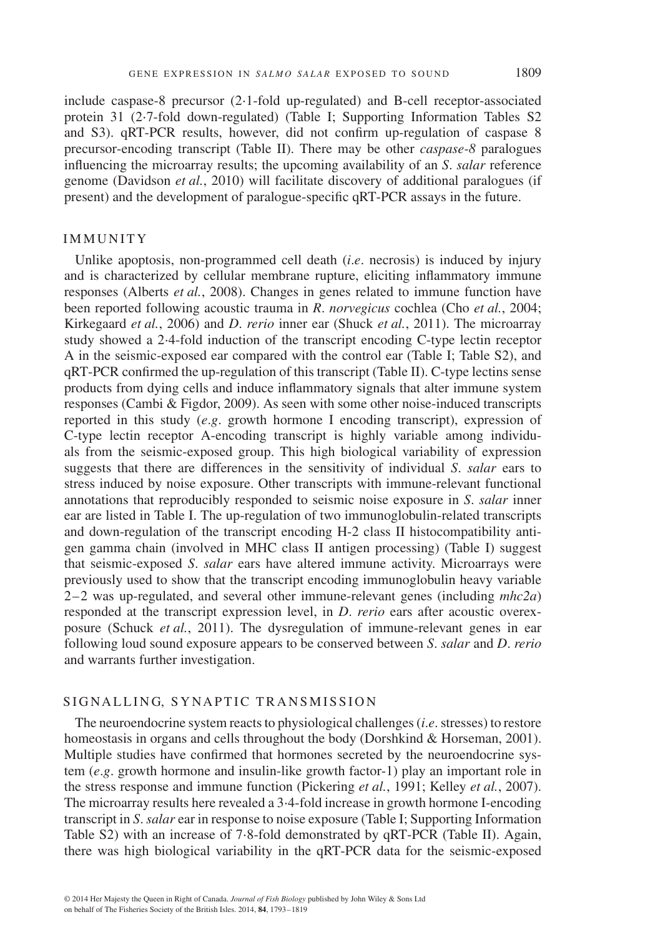include caspase-8 precursor (2⋅1-fold up-regulated) and B-cell receptor-associated protein 31 (2⋅7-fold down-regulated) (Table I; Supporting Information Tables S2 and S3). qRT-PCR results, however, did not confirm up-regulation of caspase 8 precursor-encoding transcript (Table II). There may be other *caspase-8* paralogues influencing the microarray results; the upcoming availability of an *S*. *salar* reference genome (Davidson *et al.*, 2010) will facilitate discovery of additional paralogues (if present) and the development of paralogue-specific qRT-PCR assays in the future.

#### IMMUNITY

Unlike apoptosis, non-programmed cell death (*i*.*e*. necrosis) is induced by injury and is characterized by cellular membrane rupture, eliciting inflammatory immune responses (Alberts *et al.*, 2008). Changes in genes related to immune function have been reported following acoustic trauma in *R*. *norvegicus* cochlea (Cho *et al.*, 2004; Kirkegaard *et al.*, 2006) and *D*. *rerio* inner ear (Shuck *et al.*, 2011). The microarray study showed a 2⋅4-fold induction of the transcript encoding C-type lectin receptor A in the seismic-exposed ear compared with the control ear (Table I; Table S2), and qRT-PCR confirmed the up-regulation of this transcript (Table II). C-type lectins sense products from dying cells and induce inflammatory signals that alter immune system responses (Cambi & Figdor, 2009). As seen with some other noise-induced transcripts reported in this study (*e*.*g*. growth hormone I encoding transcript), expression of C-type lectin receptor A-encoding transcript is highly variable among individuals from the seismic-exposed group. This high biological variability of expression suggests that there are differences in the sensitivity of individual *S*. *salar* ears to stress induced by noise exposure. Other transcripts with immune-relevant functional annotations that reproducibly responded to seismic noise exposure in *S*. *salar* inner ear are listed in Table I. The up-regulation of two immunoglobulin-related transcripts and down-regulation of the transcript encoding H-2 class II histocompatibility antigen gamma chain (involved in MHC class II antigen processing) (Table I) suggest that seismic-exposed *S*. *salar* ears have altered immune activity. Microarrays were previously used to show that the transcript encoding immunoglobulin heavy variable 2–2 was up-regulated, and several other immune-relevant genes (including *mhc2a*) responded at the transcript expression level, in *D*. *rerio* ears after acoustic overexposure (Schuck *et al.*, 2011). The dysregulation of immune-relevant genes in ear following loud sound exposure appears to be conserved between *S*. *salar* and *D*. *rerio* and warrants further investigation.

## SIGNALLING, SYNAPTIC TRANSMISSION

The neuroendocrine system reacts to physiological challenges (*i*.*e*. stresses) to restore homeostasis in organs and cells throughout the body (Dorshkind & Horseman, 2001). Multiple studies have confirmed that hormones secreted by the neuroendocrine system (*e*.*g*. growth hormone and insulin-like growth factor-1) play an important role in the stress response and immune function (Pickering *et al.*, 1991; Kelley *et al.*, 2007). The microarray results here revealed a 3⋅4-fold increase in growth hormone I-encoding transcript in *S*.*salar* ear in response to noise exposure (Table I; Supporting Information Table S2) with an increase of 7⋅8-fold demonstrated by qRT-PCR (Table II). Again, there was high biological variability in the qRT-PCR data for the seismic-exposed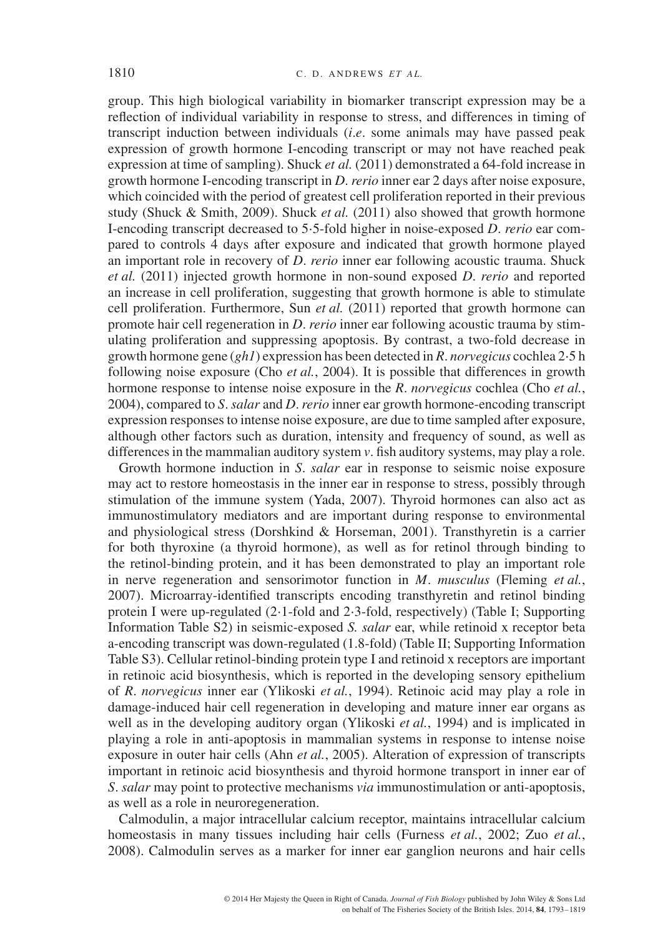group. This high biological variability in biomarker transcript expression may be a reflection of individual variability in response to stress, and differences in timing of transcript induction between individuals (*i*.*e*. some animals may have passed peak expression of growth hormone I-encoding transcript or may not have reached peak expression at time of sampling). Shuck *et al.* (2011) demonstrated a 64-fold increase in growth hormone I-encoding transcript in *D*. *rerio* inner ear 2 days after noise exposure, which coincided with the period of greatest cell proliferation reported in their previous study (Shuck & Smith, 2009). Shuck *et al.* (2011) also showed that growth hormone I-encoding transcript decreased to 5⋅5-fold higher in noise-exposed *D*. *rerio* ear compared to controls 4 days after exposure and indicated that growth hormone played an important role in recovery of *D*. *rerio* inner ear following acoustic trauma. Shuck *et al.* (2011) injected growth hormone in non-sound exposed *D*. *rerio* and reported an increase in cell proliferation, suggesting that growth hormone is able to stimulate cell proliferation. Furthermore, Sun *et al.* (2011) reported that growth hormone can promote hair cell regeneration in *D*. *rerio* inner ear following acoustic trauma by stimulating proliferation and suppressing apoptosis. By contrast, a two-fold decrease in growth hormone gene (*gh1*) expression has been detected in *R*. *norvegicus* cochlea 2⋅5 h following noise exposure (Cho *et al.*, 2004). It is possible that differences in growth hormone response to intense noise exposure in the *R*. *norvegicus* cochlea (Cho *et al.*, 2004), compared to *S*.*salar* and *D*.*rerio* inner ear growth hormone-encoding transcript expression responses to intense noise exposure, are due to time sampled after exposure, although other factors such as duration, intensity and frequency of sound, as well as differences in the mammalian auditory system *v*. fish auditory systems, may play a role.

Growth hormone induction in *S*. *salar* ear in response to seismic noise exposure may act to restore homeostasis in the inner ear in response to stress, possibly through stimulation of the immune system (Yada, 2007). Thyroid hormones can also act as immunostimulatory mediators and are important during response to environmental and physiological stress (Dorshkind & Horseman, 2001). Transthyretin is a carrier for both thyroxine (a thyroid hormone), as well as for retinol through binding to the retinol-binding protein, and it has been demonstrated to play an important role in nerve regeneration and sensorimotor function in *M*. *musculus* (Fleming *et al.*, 2007). Microarray-identified transcripts encoding transthyretin and retinol binding protein I were up-regulated (2⋅1-fold and 2⋅3-fold, respectively) (Table I; Supporting Information Table S2) in seismic-exposed *S. salar* ear, while retinoid x receptor beta a-encoding transcript was down-regulated (1.8-fold) (Table II; Supporting Information Table S3). Cellular retinol-binding protein type I and retinoid x receptors are important in retinoic acid biosynthesis, which is reported in the developing sensory epithelium of *R*. *norvegicus* inner ear (Ylikoski *et al.*, 1994). Retinoic acid may play a role in damage-induced hair cell regeneration in developing and mature inner ear organs as well as in the developing auditory organ (Ylikoski *et al.*, 1994) and is implicated in playing a role in anti-apoptosis in mammalian systems in response to intense noise exposure in outer hair cells (Ahn *et al.*, 2005). Alteration of expression of transcripts important in retinoic acid biosynthesis and thyroid hormone transport in inner ear of *S*. *salar* may point to protective mechanisms *via* immunostimulation or anti-apoptosis, as well as a role in neuroregeneration.

Calmodulin, a major intracellular calcium receptor, maintains intracellular calcium homeostasis in many tissues including hair cells (Furness *et al.*, 2002; Zuo *et al.*, 2008). Calmodulin serves as a marker for inner ear ganglion neurons and hair cells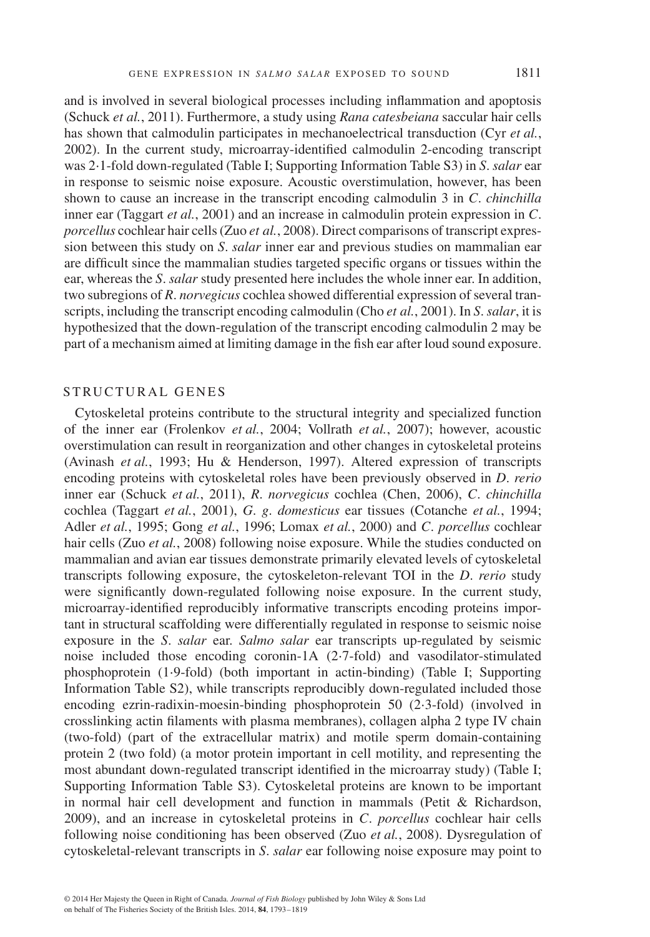and is involved in several biological processes including inflammation and apoptosis (Schuck *et al.*, 2011). Furthermore, a study using *Rana catesbeiana* saccular hair cells has shown that calmodulin participates in mechanoelectrical transduction (Cyr *et al.*, 2002). In the current study, microarray-identified calmodulin 2-encoding transcript was 2⋅1-fold down-regulated (Table I; Supporting Information Table S3) in *S*. *salar* ear in response to seismic noise exposure. Acoustic overstimulation, however, has been shown to cause an increase in the transcript encoding calmodulin 3 in *C*. *chinchilla* inner ear (Taggart *et al.*, 2001) and an increase in calmodulin protein expression in *C*. *porcellus* cochlear hair cells (Zuo *et al.*, 2008). Direct comparisons of transcript expression between this study on *S*. *salar* inner ear and previous studies on mammalian ear are difficult since the mammalian studies targeted specific organs or tissues within the ear, whereas the *S*. *salar* study presented here includes the whole inner ear. In addition, two subregions of *R*. *norvegicus* cochlea showed differential expression of several transcripts, including the transcript encoding calmodulin (Cho *et al.*, 2001). In *S*.*salar*, it is hypothesized that the down-regulation of the transcript encoding calmodulin 2 may be part of a mechanism aimed at limiting damage in the fish ear after loud sound exposure.

# STRUCTURAL GENES

Cytoskeletal proteins contribute to the structural integrity and specialized function of the inner ear (Frolenkov *et al.*, 2004; Vollrath *et al.*, 2007); however, acoustic overstimulation can result in reorganization and other changes in cytoskeletal proteins (Avinash *et al.*, 1993; Hu & Henderson, 1997). Altered expression of transcripts encoding proteins with cytoskeletal roles have been previously observed in *D*. *rerio* inner ear (Schuck *et al.*, 2011), *R*. *norvegicus* cochlea (Chen, 2006), *C*. *chinchilla* cochlea (Taggart *et al.*, 2001), *G*. *g*. *domesticus* ear tissues (Cotanche *et al.*, 1994; Adler *et al.*, 1995; Gong *et al.*, 1996; Lomax *et al.*, 2000) and *C*. *porcellus* cochlear hair cells (Zuo *et al.*, 2008) following noise exposure. While the studies conducted on mammalian and avian ear tissues demonstrate primarily elevated levels of cytoskeletal transcripts following exposure, the cytoskeleton-relevant TOI in the *D*. *rerio* study were significantly down-regulated following noise exposure. In the current study, microarray-identified reproducibly informative transcripts encoding proteins important in structural scaffolding were differentially regulated in response to seismic noise exposure in the *S*. *salar* ear. *Salmo salar* ear transcripts up-regulated by seismic noise included those encoding coronin-1A (2⋅7-fold) and vasodilator-stimulated phosphoprotein (1⋅9-fold) (both important in actin-binding) (Table I; Supporting Information Table S2), while transcripts reproducibly down-regulated included those encoding ezrin-radixin-moesin-binding phosphoprotein 50 (2⋅3-fold) (involved in crosslinking actin filaments with plasma membranes), collagen alpha 2 type IV chain (two-fold) (part of the extracellular matrix) and motile sperm domain-containing protein 2 (two fold) (a motor protein important in cell motility, and representing the most abundant down-regulated transcript identified in the microarray study) (Table I; Supporting Information Table S3). Cytoskeletal proteins are known to be important in normal hair cell development and function in mammals (Petit & Richardson, 2009), and an increase in cytoskeletal proteins in *C*. *porcellus* cochlear hair cells following noise conditioning has been observed (Zuo *et al.*, 2008). Dysregulation of cytoskeletal-relevant transcripts in *S*. *salar* ear following noise exposure may point to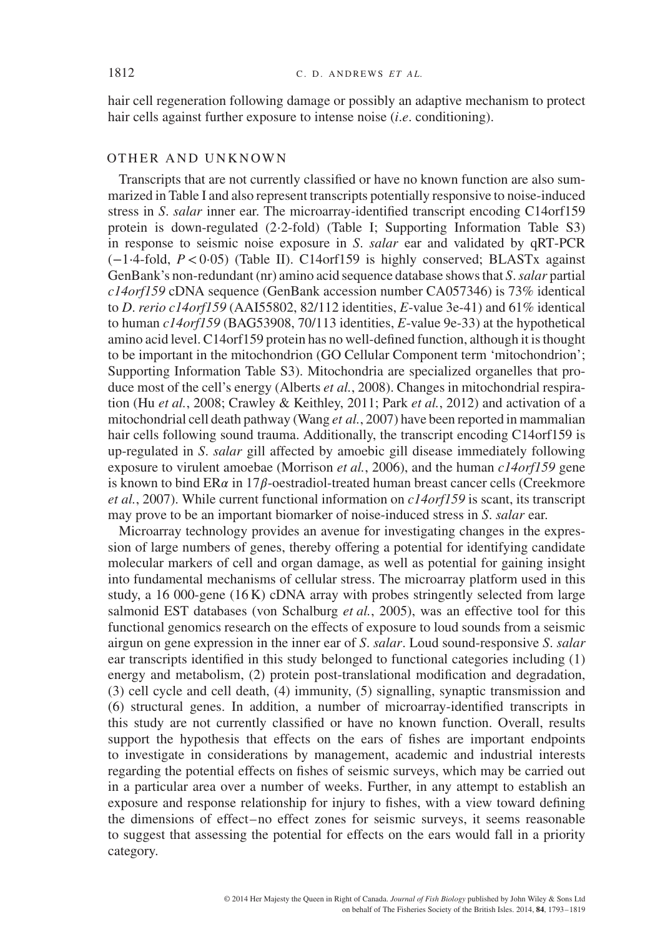hair cell regeneration following damage or possibly an adaptive mechanism to protect hair cells against further exposure to intense noise (*i*.*e*. conditioning).

#### OTHER AND UNKNOWN

Transcripts that are not currently classified or have no known function are also summarized in Table I and also represent transcripts potentially responsive to noise-induced stress in *S*. *salar* inner ear. The microarray-identified transcript encoding C14orf159 protein is down-regulated (2⋅2-fold) (Table I; Supporting Information Table S3) in response to seismic noise exposure in *S*. *salar* ear and validated by qRT-PCR (−1⋅4-fold, *P<*0⋅05) (Table II). C14orf159 is highly conserved; BLASTx against GenBank's non-redundant (nr) amino acid sequence database shows that *S*.*salar* partial *c14orf159* cDNA sequence (GenBank accession number CA057346) is 73% identical to *D*. *rerio c14orf159* (AAI55802, 82/112 identities, *E*-value 3e-41) and 61% identical to human *c14orf159* (BAG53908, 70/113 identities, *E*-value 9e-33) at the hypothetical amino acid level. C14orf159 protein has no well-defined function, although it is thought to be important in the mitochondrion (GO Cellular Component term 'mitochondrion'; Supporting Information Table S3). Mitochondria are specialized organelles that produce most of the cell's energy (Alberts *et al.*, 2008). Changes in mitochondrial respiration (Hu *et al.*, 2008; Crawley & Keithley, 2011; Park *et al.*, 2012) and activation of a mitochondrial cell death pathway (Wang *et al.*, 2007) have been reported in mammalian hair cells following sound trauma. Additionally, the transcript encoding C14orf159 is up-regulated in *S*. *salar* gill affected by amoebic gill disease immediately following exposure to virulent amoebae (Morrison *et al.*, 2006), and the human *c14orf159* gene is known to bind  $ER\alpha$  in 17 $\beta$ -oestradiol-treated human breast cancer cells (Creekmore *et al.*, 2007). While current functional information on *c14orf159* is scant, its transcript may prove to be an important biomarker of noise-induced stress in *S*. *salar* ear.

Microarray technology provides an avenue for investigating changes in the expression of large numbers of genes, thereby offering a potential for identifying candidate molecular markers of cell and organ damage, as well as potential for gaining insight into fundamental mechanisms of cellular stress. The microarray platform used in this study, a 16 000-gene  $(16 K)$  cDNA array with probes stringently selected from large salmonid EST databases (von Schalburg *et al.*, 2005), was an effective tool for this functional genomics research on the effects of exposure to loud sounds from a seismic airgun on gene expression in the inner ear of *S*. *salar*. Loud sound-responsive *S*. *salar* ear transcripts identified in this study belonged to functional categories including (1) energy and metabolism, (2) protein post-translational modification and degradation, (3) cell cycle and cell death, (4) immunity, (5) signalling, synaptic transmission and (6) structural genes. In addition, a number of microarray-identified transcripts in this study are not currently classified or have no known function. Overall, results support the hypothesis that effects on the ears of fishes are important endpoints to investigate in considerations by management, academic and industrial interests regarding the potential effects on fishes of seismic surveys, which may be carried out in a particular area over a number of weeks. Further, in any attempt to establish an exposure and response relationship for injury to fishes, with a view toward defining the dimensions of effect–no effect zones for seismic surveys, it seems reasonable to suggest that assessing the potential for effects on the ears would fall in a priority category.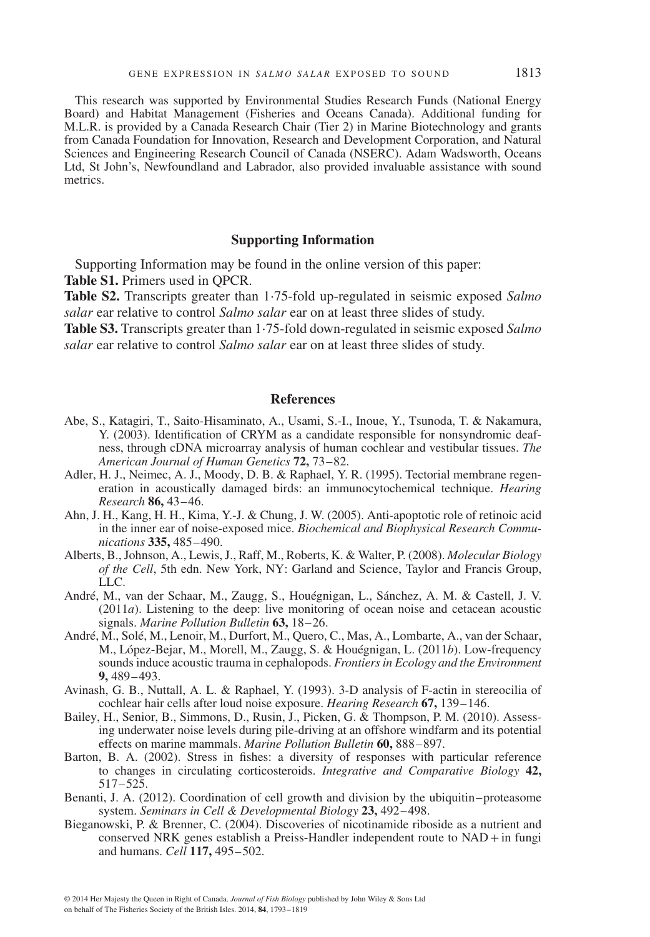This research was supported by Environmental Studies Research Funds (National Energy Board) and Habitat Management (Fisheries and Oceans Canada). Additional funding for M.L.R. is provided by a Canada Research Chair (Tier 2) in Marine Biotechnology and grants from Canada Foundation for Innovation, Research and Development Corporation, and Natural Sciences and Engineering Research Council of Canada (NSERC). Adam Wadsworth, Oceans Ltd, St John's, Newfoundland and Labrador, also provided invaluable assistance with sound metrics.

#### **Supporting Information**

Supporting Information may be found in the online version of this paper: **Table S1.** Primers used in QPCR.

**Table S2.** Transcripts greater than 1⋅75-fold up-regulated in seismic exposed *Salmo salar* ear relative to control *Salmo salar* ear on at least three slides of study.

**Table S3.** Transcripts greater than 1⋅75-fold down-regulated in seismic exposed *Salmo salar* ear relative to control *Salmo salar* ear on at least three slides of study.

#### **References**

- Abe, S., Katagiri, T., Saito-Hisaminato, A., Usami, S.-I., Inoue, Y., Tsunoda, T. & Nakamura, Y. (2003). Identification of CRYM as a candidate responsible for nonsyndromic deafness, through cDNA microarray analysis of human cochlear and vestibular tissues. *The American Journal of Human Genetics* **72,** 73–82.
- Adler, H. J., Neimec, A. J., Moody, D. B. & Raphael, Y. R. (1995). Tectorial membrane regeneration in acoustically damaged birds: an immunocytochemical technique. *Hearing Research* **86,** 43–46.
- Ahn, J. H., Kang, H. H., Kima, Y.-J. & Chung, J. W. (2005). Anti-apoptotic role of retinoic acid in the inner ear of noise-exposed mice. *Biochemical and Biophysical Research Communications* **335,** 485–490.
- Alberts, B., Johnson, A., Lewis, J., Raff, M., Roberts, K. & Walter, P. (2008). *Molecular Biology of the Cell*, 5th edn. New York, NY: Garland and Science, Taylor and Francis Group, LLC.
- André, M., van der Schaar, M., Zaugg, S., Houégnigan, L., Sánchez, A. M. & Castell, J. V. (2011*a*). Listening to the deep: live monitoring of ocean noise and cetacean acoustic signals. *Marine Pollution Bulletin* **63,** 18–26.
- André, M., Solé, M., Lenoir, M., Durfort, M., Quero, C., Mas, A., Lombarte, A., van der Schaar, M., López-Bejar, M., Morell, M., Zaugg, S. & Houégnigan, L. (2011*b*). Low-frequency sounds induce acoustic trauma in cephalopods. *Frontiers in Ecology and the Environment* **9,** 489–493.
- Avinash, G. B., Nuttall, A. L. & Raphael, Y. (1993). 3-D analysis of F-actin in stereocilia of cochlear hair cells after loud noise exposure. *Hearing Research* **67,** 139–146.
- Bailey, H., Senior, B., Simmons, D., Rusin, J., Picken, G. & Thompson, P. M. (2010). Assessing underwater noise levels during pile-driving at an offshore windfarm and its potential effects on marine mammals. *Marine Pollution Bulletin* **60,** 888–897.
- Barton, B. A. (2002). Stress in fishes: a diversity of responses with particular reference to changes in circulating corticosteroids. *Integrative and Comparative Biology* **42,** 517–525.
- Benanti, J. A. (2012). Coordination of cell growth and division by the ubiquitin–proteasome system. *Seminars in Cell & Developmental Biology* **23,** 492–498.
- Bieganowski, P. & Brenner, C. (2004). Discoveries of nicotinamide riboside as a nutrient and conserved NRK genes establish a Preiss-Handler independent route to  $NAD + in$  fungi and humans. *Cell* **117,** 495–502.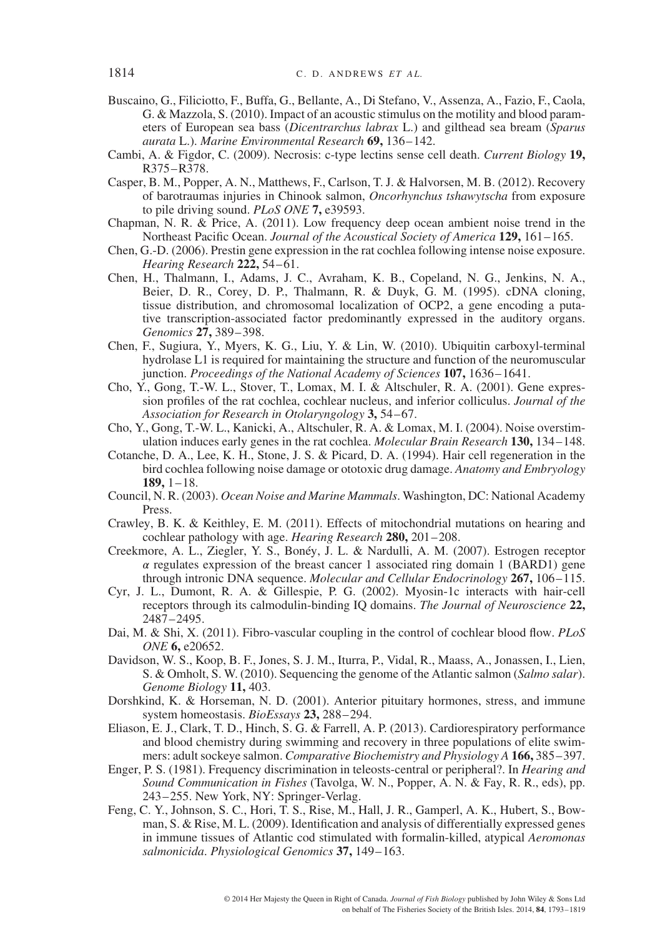- Buscaino, G., Filiciotto, F., Buffa, G., Bellante, A., Di Stefano, V., Assenza, A., Fazio, F., Caola, G. & Mazzola, S. (2010). Impact of an acoustic stimulus on the motility and blood parameters of European sea bass (*Dicentrarchus labrax* L.) and gilthead sea bream (*Sparus aurata* L.). *Marine Environmental Research* **69,** 136–142.
- Cambi, A. & Figdor, C. (2009). Necrosis: c-type lectins sense cell death. *Current Biology* **19,** R375–R378.
- Casper, B. M., Popper, A. N., Matthews, F., Carlson, T. J. & Halvorsen, M. B. (2012). Recovery of barotraumas injuries in Chinook salmon, *Oncorhynchus tshawytscha* from exposure to pile driving sound. *PLoS ONE* **7,** e39593.
- Chapman, N. R. & Price, A. (2011). Low frequency deep ocean ambient noise trend in the Northeast Pacific Ocean. *Journal of the Acoustical Society of America* **129,** 161–165.
- Chen, G.-D. (2006). Prestin gene expression in the rat cochlea following intense noise exposure. *Hearing Research* **222,** 54–61.
- Chen, H., Thalmann, I., Adams, J. C., Avraham, K. B., Copeland, N. G., Jenkins, N. A., Beier, D. R., Corey, D. P., Thalmann, R. & Duyk, G. M. (1995). cDNA cloning, tissue distribution, and chromosomal localization of OCP2, a gene encoding a putative transcription-associated factor predominantly expressed in the auditory organs. *Genomics* **27,** 389–398.
- Chen, F., Sugiura, Y., Myers, K. G., Liu, Y. & Lin, W. (2010). Ubiquitin carboxyl-terminal hydrolase L1 is required for maintaining the structure and function of the neuromuscular junction. *Proceedings of the National Academy of Sciences* **107,** 1636–1641.
- Cho, Y., Gong, T.-W. L., Stover, T., Lomax, M. I. & Altschuler, R. A. (2001). Gene expression profiles of the rat cochlea, cochlear nucleus, and inferior colliculus. *Journal of the Association for Research in Otolaryngology* **3,** 54–67.
- Cho, Y., Gong, T.-W. L., Kanicki, A., Altschuler, R. A. & Lomax, M. I. (2004). Noise overstimulation induces early genes in the rat cochlea. *Molecular Brain Research* **130,** 134–148.
- Cotanche, D. A., Lee, K. H., Stone, J. S. & Picard, D. A. (1994). Hair cell regeneration in the bird cochlea following noise damage or ototoxic drug damage. *Anatomy and Embryology* **189,** 1–18.
- Council, N. R. (2003). *Ocean Noise and Marine Mammals*. Washington, DC: National Academy Press.
- Crawley, B. K. & Keithley, E. M. (2011). Effects of mitochondrial mutations on hearing and cochlear pathology with age. *Hearing Research* **280,** 201–208.
- Creekmore, A. L., Ziegler, Y. S., Bonéy, J. L. & Nardulli, A. M. (2007). Estrogen receptor  $\alpha$  regulates expression of the breast cancer 1 associated ring domain 1 (BARD1) gene through intronic DNA sequence. *Molecular and Cellular Endocrinology* **267,** 106–115.
- Cyr, J. L., Dumont, R. A. & Gillespie, P. G. (2002). Myosin-1c interacts with hair-cell receptors through its calmodulin-binding IQ domains. *The Journal of Neuroscience* **22,** 2487–2495.
- Dai, M. & Shi, X. (2011). Fibro-vascular coupling in the control of cochlear blood flow. *PLoS ONE* **6,** e20652.
- Davidson, W. S., Koop, B. F., Jones, S. J. M., Iturra, P., Vidal, R., Maass, A., Jonassen, I., Lien, S. & Omholt, S. W. (2010). Sequencing the genome of the Atlantic salmon (*Salmo salar*). *Genome Biology* **11,** 403.
- Dorshkind, K. & Horseman, N. D. (2001). Anterior pituitary hormones, stress, and immune system homeostasis. *BioEssays* **23,** 288–294.
- Eliason, E. J., Clark, T. D., Hinch, S. G. & Farrell, A. P. (2013). Cardiorespiratory performance and blood chemistry during swimming and recovery in three populations of elite swimmers: adult sockeye salmon. *Comparative Biochemistry and Physiology A* **166,** 385–397.
- Enger, P. S. (1981). Frequency discrimination in teleosts-central or peripheral?. In *Hearing and Sound Communication in Fishes* (Tavolga, W. N., Popper, A. N. & Fay, R. R., eds), pp. 243–255. New York, NY: Springer-Verlag.
- Feng, C. Y., Johnson, S. C., Hori, T. S., Rise, M., Hall, J. R., Gamperl, A. K., Hubert, S., Bowman, S. & Rise, M. L. (2009). Identification and analysis of differentially expressed genes in immune tissues of Atlantic cod stimulated with formalin-killed, atypical *Aeromonas salmonicida*. *Physiological Genomics* **37,** 149–163.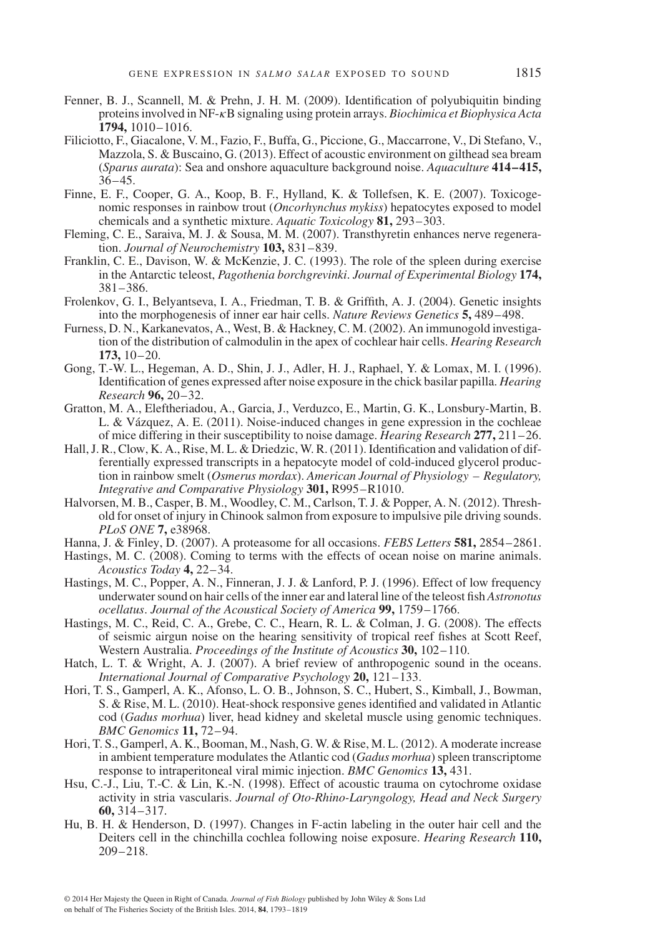- Fenner, B. J., Scannell, M. & Prehn, J. H. M. (2009). Identification of polyubiquitin binding proteins involved in NF-B signaling using protein arrays. *Biochimica et Biophysica Acta* **1794,** 1010–1016.
- Filiciotto, F., Giacalone, V. M., Fazio, F., Buffa, G., Piccione, G., Maccarrone, V., Di Stefano, V., Mazzola, S. & Buscaino, G. (2013). Effect of acoustic environment on gilthead sea bream (*Sparus aurata*): Sea and onshore aquaculture background noise. *Aquaculture* **414–415,**  $36 - 45$ .
- Finne, E. F., Cooper, G. A., Koop, B. F., Hylland, K. & Tollefsen, K. E. (2007). Toxicogenomic responses in rainbow trout (*Oncorhynchus mykiss*) hepatocytes exposed to model chemicals and a synthetic mixture. *Aquatic Toxicology* **81,** 293–303.
- Fleming, C. E., Saraiva, M. J. & Sousa, M. M. (2007). Transthyretin enhances nerve regeneration. *Journal of Neurochemistry* **103,** 831–839.
- Franklin, C. E., Davison, W. & McKenzie, J. C. (1993). The role of the spleen during exercise in the Antarctic teleost, *Pagothenia borchgrevinki*. *Journal of Experimental Biology* **174,** 381–386.
- Frolenkov, G. I., Belyantseva, I. A., Friedman, T. B. & Griffith, A. J. (2004). Genetic insights into the morphogenesis of inner ear hair cells. *Nature Reviews Genetics* **5,** 489–498.
- Furness, D. N., Karkanevatos, A., West, B. & Hackney, C. M. (2002). An immunogold investigation of the distribution of calmodulin in the apex of cochlear hair cells. *Hearing Research* **173,** 10–20.
- Gong, T.-W. L., Hegeman, A. D., Shin, J. J., Adler, H. J., Raphael, Y. & Lomax, M. I. (1996). Identification of genes expressed after noise exposure in the chick basilar papilla. *Hearing Research* **96,** 20–32.
- Gratton, M. A., Eleftheriadou, A., Garcia, J., Verduzco, E., Martin, G. K., Lonsbury-Martin, B. L. & Vázquez, A. E. (2011). Noise-induced changes in gene expression in the cochleae of mice differing in their susceptibility to noise damage. *Hearing Research* **277,** 211–26.
- Hall, J. R., Clow, K. A., Rise, M. L. & Driedzic, W. R. (2011). Identification and validation of differentially expressed transcripts in a hepatocyte model of cold-induced glycerol production in rainbow smelt (*Osmerus mordax*). *American Journal of Physiology – Regulatory, Integrative and Comparative Physiology* **301,** R995–R1010.
- Halvorsen, M. B., Casper, B. M., Woodley, C. M., Carlson, T. J. & Popper, A. N. (2012). Threshold for onset of injury in Chinook salmon from exposure to impulsive pile driving sounds. *PLoS ONE* **7,** e38968.
- Hanna, J. & Finley, D. (2007). A proteasome for all occasions. *FEBS Letters* **581,** 2854–2861.
- Hastings, M. C. (2008). Coming to terms with the effects of ocean noise on marine animals. *Acoustics Today* **4,** 22–34.
- Hastings, M. C., Popper, A. N., Finneran, J. J. & Lanford, P. J. (1996). Effect of low frequency underwater sound on hair cells of the inner ear and lateral line of the teleost fish *Astronotus ocellatus*. *Journal of the Acoustical Society of America* **99,** 1759–1766.
- Hastings, M. C., Reid, C. A., Grebe, C. C., Hearn, R. L. & Colman, J. G. (2008). The effects of seismic airgun noise on the hearing sensitivity of tropical reef fishes at Scott Reef, Western Australia. *Proceedings of the Institute of Acoustics* **30,** 102–110.
- Hatch, L. T. & Wright, A. J. (2007). A brief review of anthropogenic sound in the oceans. *International Journal of Comparative Psychology* **20,** 121–133.
- Hori, T. S., Gamperl, A. K., Afonso, L. O. B., Johnson, S. C., Hubert, S., Kimball, J., Bowman, S. & Rise, M. L. (2010). Heat-shock responsive genes identified and validated in Atlantic cod (*Gadus morhua*) liver, head kidney and skeletal muscle using genomic techniques. *BMC Genomics* **11,** 72–94.
- Hori, T. S., Gamperl, A. K., Booman, M., Nash, G. W. & Rise, M. L. (2012). A moderate increase in ambient temperature modulates the Atlantic cod (*Gadus morhua*) spleen transcriptome response to intraperitoneal viral mimic injection. *BMC Genomics* **13,** 431.
- Hsu, C.-J., Liu, T.-C. & Lin, K.-N. (1998). Effect of acoustic trauma on cytochrome oxidase activity in stria vascularis. *Journal of Oto-Rhino-Laryngology, Head and Neck Surgery* **60,** 314–317.
- Hu, B. H. & Henderson, D. (1997). Changes in F-actin labeling in the outer hair cell and the Deiters cell in the chinchilla cochlea following noise exposure. *Hearing Research* **110,** 209–218.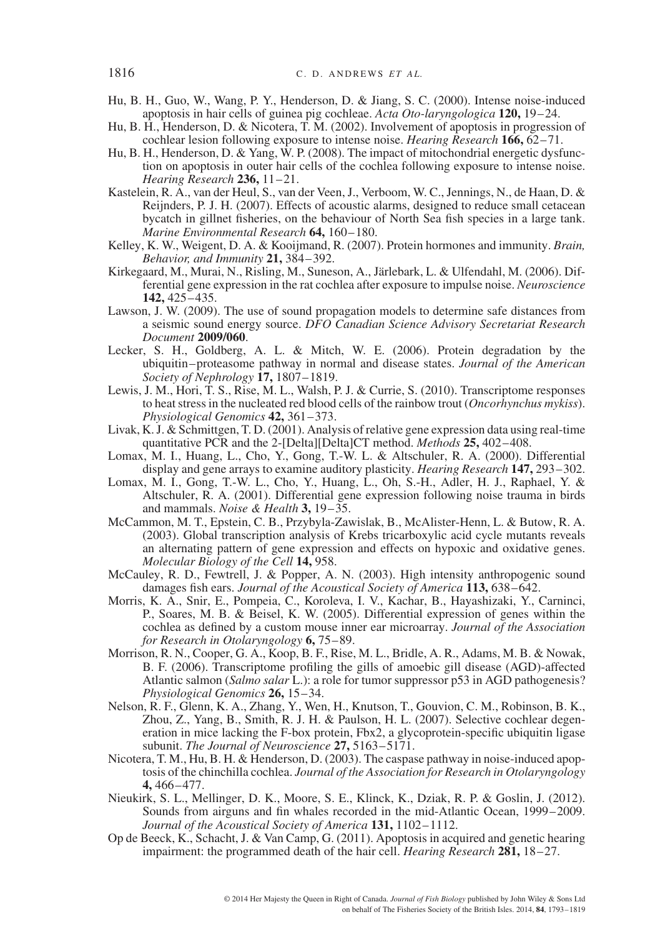- Hu, B. H., Guo, W., Wang, P. Y., Henderson, D. & Jiang, S. C. (2000). Intense noise-induced apoptosis in hair cells of guinea pig cochleae. *Acta Oto-laryngologica* **120,** 19–24.
- Hu, B. H., Henderson, D. & Nicotera, T. M. (2002). Involvement of apoptosis in progression of cochlear lesion following exposure to intense noise. *Hearing Research* **166,** 62–71.
- Hu, B. H., Henderson, D. & Yang, W. P. (2008). The impact of mitochondrial energetic dysfunction on apoptosis in outer hair cells of the cochlea following exposure to intense noise. *Hearing Research* **236,** 11–21.
- Kastelein, R. A., van der Heul, S., van der Veen, J., Verboom, W. C., Jennings, N., de Haan, D. & Reijnders, P. J. H. (2007). Effects of acoustic alarms, designed to reduce small cetacean bycatch in gillnet fisheries, on the behaviour of North Sea fish species in a large tank. *Marine Environmental Research* **64,** 160–180.
- Kelley, K. W., Weigent, D. A. & Kooijmand, R. (2007). Protein hormones and immunity. *Brain, Behavior, and Immunity* **21,** 384–392.
- Kirkegaard, M., Murai, N., Risling, M., Suneson, A., Järlebark, L. & Ulfendahl, M. (2006). Differential gene expression in the rat cochlea after exposure to impulse noise. *Neuroscience* **142,** 425–435.
- Lawson, J. W. (2009). The use of sound propagation models to determine safe distances from a seismic sound energy source. *DFO Canadian Science Advisory Secretariat Research Document* **2009/060**.
- Lecker, S. H., Goldberg, A. L. & Mitch, W. E. (2006). Protein degradation by the ubiquitin–proteasome pathway in normal and disease states. *Journal of the American Society of Nephrology* **17,** 1807–1819.
- Lewis, J. M., Hori, T. S., Rise, M. L., Walsh, P. J. & Currie, S. (2010). Transcriptome responses to heat stress in the nucleated red blood cells of the rainbow trout (*Oncorhynchus mykiss*). *Physiological Genomics* **42,** 361–373.
- Livak, K. J. & Schmittgen, T. D. (2001). Analysis of relative gene expression data using real-time quantitative PCR and the 2-[Delta][Delta]CT method. *Methods* **25,** 402–408.
- Lomax, M. I., Huang, L., Cho, Y., Gong, T.-W. L. & Altschuler, R. A. (2000). Differential display and gene arrays to examine auditory plasticity. *Hearing Research* **147,** 293–302.
- Lomax, M. I., Gong, T.-W. L., Cho, Y., Huang, L., Oh, S.-H., Adler, H. J., Raphael, Y. & Altschuler, R. A. (2001). Differential gene expression following noise trauma in birds and mammals. *Noise & Health* **3,** 19–35.
- McCammon, M. T., Epstein, C. B., Przybyla-Zawislak, B., McAlister-Henn, L. & Butow, R. A. (2003). Global transcription analysis of Krebs tricarboxylic acid cycle mutants reveals an alternating pattern of gene expression and effects on hypoxic and oxidative genes. *Molecular Biology of the Cell* **14,** 958.
- McCauley, R. D., Fewtrell, J. & Popper, A. N. (2003). High intensity anthropogenic sound damages fish ears. *Journal of the Acoustical Society of America* **113,** 638–642.
- Morris, K. A., Snir, E., Pompeia, C., Koroleva, I. V., Kachar, B., Hayashizaki, Y., Carninci, P., Soares, M. B. & Beisel, K. W. (2005). Differential expression of genes within the cochlea as defined by a custom mouse inner ear microarray. *Journal of the Association for Research in Otolaryngology* **6,** 75–89.
- Morrison, R. N., Cooper, G. A., Koop, B. F., Rise, M. L., Bridle, A. R., Adams, M. B. & Nowak, B. F. (2006). Transcriptome profiling the gills of amoebic gill disease (AGD)-affected Atlantic salmon (*Salmo salar* L.): a role for tumor suppressor p53 in AGD pathogenesis? *Physiological Genomics* **26,** 15–34.
- Nelson, R. F., Glenn, K. A., Zhang, Y., Wen, H., Knutson, T., Gouvion, C. M., Robinson, B. K., Zhou, Z., Yang, B., Smith, R. J. H. & Paulson, H. L. (2007). Selective cochlear degeneration in mice lacking the F-box protein, Fbx2, a glycoprotein-specific ubiquitin ligase subunit. *The Journal of Neuroscience* **27,** 5163–5171.
- Nicotera, T. M., Hu, B. H. & Henderson, D. (2003). The caspase pathway in noise-induced apoptosis of the chinchilla cochlea. *Journal of the Association for Research in Otolaryngology* **4,** 466–477.
- Nieukirk, S. L., Mellinger, D. K., Moore, S. E., Klinck, K., Dziak, R. P. & Goslin, J. (2012). Sounds from airguns and fin whales recorded in the mid-Atlantic Ocean, 1999–2009. *Journal of the Acoustical Society of America* **131,** 1102–1112.
- Op de Beeck, K., Schacht, J. & Van Camp, G. (2011). Apoptosis in acquired and genetic hearing impairment: the programmed death of the hair cell. *Hearing Research* **281,** 18–27.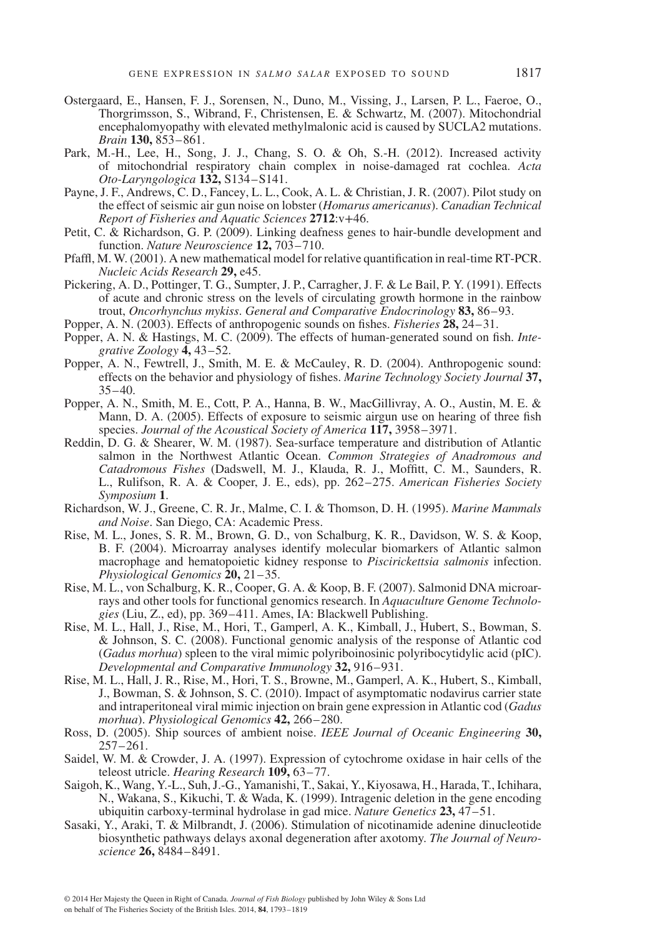- Ostergaard, E., Hansen, F. J., Sorensen, N., Duno, M., Vissing, J., Larsen, P. L., Faeroe, O., Thorgrimsson, S., Wibrand, F., Christensen, E. & Schwartz, M. (2007). Mitochondrial encephalomyopathy with elevated methylmalonic acid is caused by SUCLA2 mutations. *Brain* **130,** 853–861.
- Park, M.-H., Lee, H., Song, J. J., Chang, S. O. & Oh, S.-H. (2012). Increased activity of mitochondrial respiratory chain complex in noise-damaged rat cochlea. *Acta Oto-Laryngologica* **132,** S134–S141.
- Payne, J. F., Andrews, C. D., Fancey, L. L., Cook, A. L. & Christian, J. R. (2007). Pilot study on the effect of seismic air gun noise on lobster (*Homarus americanus*). *Canadian Technical Report of Fisheries and Aquatic Sciences* **2712**:v+46.
- Petit, C. & Richardson, G. P. (2009). Linking deafness genes to hair-bundle development and function. *Nature Neuroscience* **12,** 703–710.
- Pfaffl, M. W. (2001). A new mathematical model for relative quantification in real-time RT-PCR. *Nucleic Acids Research* **29,** e45.
- Pickering, A. D., Pottinger, T. G., Sumpter, J. P., Carragher, J. F. & Le Bail, P. Y. (1991). Effects of acute and chronic stress on the levels of circulating growth hormone in the rainbow trout, *Oncorhynchus mykiss*. *General and Comparative Endocrinology* **83,** 86–93.
- Popper, A. N. (2003). Effects of anthropogenic sounds on fishes. *Fisheries* **28,** 24–31.
- Popper, A. N. & Hastings, M. C. (2009). The effects of human-generated sound on fish. *Integrative Zoology* **4,** 43–52.
- Popper, A. N., Fewtrell, J., Smith, M. E. & McCauley, R. D. (2004). Anthropogenic sound: effects on the behavior and physiology of fishes. *Marine Technology Society Journal* **37,**  $35 - 40.$
- Popper, A. N., Smith, M. E., Cott, P. A., Hanna, B. W., MacGillivray, A. O., Austin, M. E. & Mann, D. A. (2005). Effects of exposure to seismic airgun use on hearing of three fish species. *Journal of the Acoustical Society of America* **117,** 3958–3971.
- Reddin, D. G. & Shearer, W. M. (1987). Sea-surface temperature and distribution of Atlantic salmon in the Northwest Atlantic Ocean. *Common Strategies of Anadromous and Catadromous Fishes* (Dadswell, M. J., Klauda, R. J., Moffitt, C. M., Saunders, R. L., Rulifson, R. A. & Cooper, J. E., eds), pp. 262–275. *American Fisheries Society Symposium* **1**.
- Richardson, W. J., Greene, C. R. Jr., Malme, C. I. & Thomson, D. H. (1995). *Marine Mammals and Noise*. San Diego, CA: Academic Press.
- Rise, M. L., Jones, S. R. M., Brown, G. D., von Schalburg, K. R., Davidson, W. S. & Koop, B. F. (2004). Microarray analyses identify molecular biomarkers of Atlantic salmon macrophage and hematopoietic kidney response to *Piscirickettsia salmonis* infection. *Physiological Genomics* **20,** 21–35.
- Rise, M. L., von Schalburg, K. R., Cooper, G. A. & Koop, B. F. (2007). Salmonid DNA microarrays and other tools for functional genomics research. In *Aquaculture Genome Technologies* (Liu, Z., ed), pp. 369–411. Ames, IA: Blackwell Publishing.
- Rise, M. L., Hall, J., Rise, M., Hori, T., Gamperl, A. K., Kimball, J., Hubert, S., Bowman, S. & Johnson, S. C. (2008). Functional genomic analysis of the response of Atlantic cod (*Gadus morhua*) spleen to the viral mimic polyriboinosinic polyribocytidylic acid (pIC). *Developmental and Comparative Immunology* **32,** 916–931.
- Rise, M. L., Hall, J. R., Rise, M., Hori, T. S., Browne, M., Gamperl, A. K., Hubert, S., Kimball, J., Bowman, S. & Johnson, S. C. (2010). Impact of asymptomatic nodavirus carrier state and intraperitoneal viral mimic injection on brain gene expression in Atlantic cod (*Gadus morhua*). *Physiological Genomics* **42,** 266–280.
- Ross, D. (2005). Ship sources of ambient noise. *IEEE Journal of Oceanic Engineering* **30,** 257–261.
- Saidel, W. M. & Crowder, J. A. (1997). Expression of cytochrome oxidase in hair cells of the teleost utricle. *Hearing Research* **109,** 63–77.
- Saigoh, K., Wang, Y.-L., Suh, J.-G., Yamanishi, T., Sakai, Y., Kiyosawa, H., Harada, T., Ichihara, N., Wakana, S., Kikuchi, T. & Wada, K. (1999). Intragenic deletion in the gene encoding ubiquitin carboxy-terminal hydrolase in gad mice. *Nature Genetics* **23,** 47–51.
- Sasaki, Y., Araki, T. & Milbrandt, J. (2006). Stimulation of nicotinamide adenine dinucleotide biosynthetic pathways delays axonal degeneration after axotomy. *The Journal of Neuroscience* **26,** 8484–8491.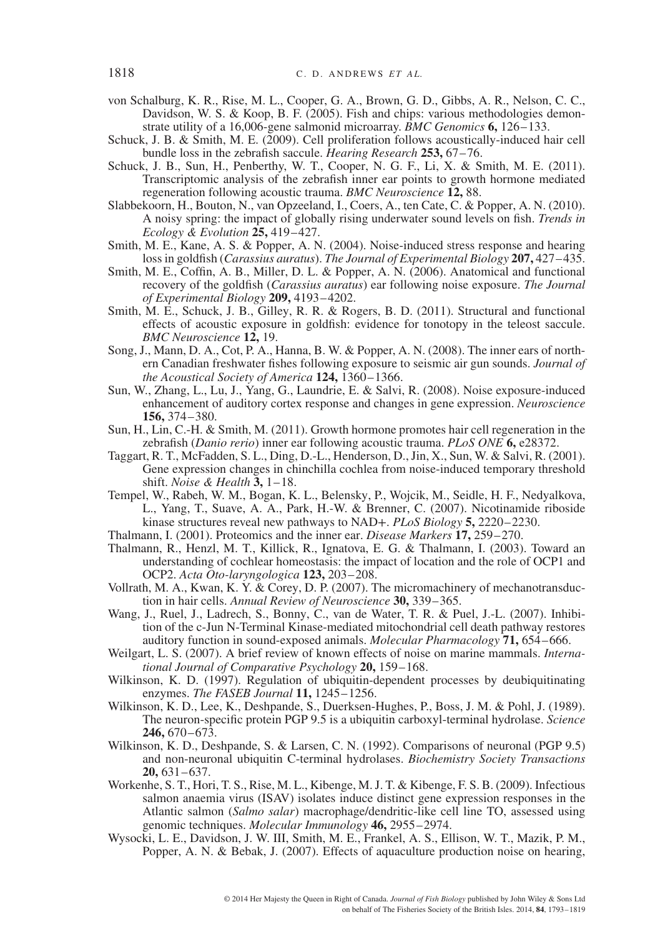- von Schalburg, K. R., Rise, M. L., Cooper, G. A., Brown, G. D., Gibbs, A. R., Nelson, C. C., Davidson, W. S. & Koop, B. F. (2005). Fish and chips: various methodologies demonstrate utility of a 16,006-gene salmonid microarray. *BMC Genomics* **6,** 126–133.
- Schuck, J. B. & Smith, M. E. (2009). Cell proliferation follows acoustically-induced hair cell bundle loss in the zebrafish saccule. *Hearing Research* **253,** 67–76.
- Schuck, J. B., Sun, H., Penberthy, W. T., Cooper, N. G. F., Li, X. & Smith, M. E. (2011). Transcriptomic analysis of the zebrafish inner ear points to growth hormone mediated regeneration following acoustic trauma. *BMC Neuroscience* **12,** 88.
- Slabbekoorn, H., Bouton, N., van Opzeeland, I., Coers, A., ten Cate, C. & Popper, A. N. (2010). A noisy spring: the impact of globally rising underwater sound levels on fish. *Trends in Ecology & Evolution* **25,** 419–427.
- Smith, M. E., Kane, A. S. & Popper, A. N. (2004). Noise-induced stress response and hearing loss in goldfish (*Carassius auratus*). *The Journal of Experimental Biology* **207,** 427–435.
- Smith, M. E., Coffin, A. B., Miller, D. L. & Popper, A. N. (2006). Anatomical and functional recovery of the goldfish (*Carassius auratus*) ear following noise exposure. *The Journal of Experimental Biology* **209,** 4193–4202.
- Smith, M. E., Schuck, J. B., Gilley, R. R. & Rogers, B. D. (2011). Structural and functional effects of acoustic exposure in goldfish: evidence for tonotopy in the teleost saccule. *BMC Neuroscience* **12,** 19.
- Song, J., Mann, D. A., Cot, P. A., Hanna, B. W. & Popper, A. N. (2008). The inner ears of northern Canadian freshwater fishes following exposure to seismic air gun sounds. *Journal of the Acoustical Society of America* **124,** 1360–1366.
- Sun, W., Zhang, L., Lu, J., Yang, G., Laundrie, E. & Salvi, R. (2008). Noise exposure-induced enhancement of auditory cortex response and changes in gene expression. *Neuroscience* **156,** 374–380.
- Sun, H., Lin, C.-H. & Smith, M. (2011). Growth hormone promotes hair cell regeneration in the zebrafish (*Danio rerio*) inner ear following acoustic trauma. *PLoS ONE* **6,** e28372.
- Taggart, R. T., McFadden, S. L., Ding, D.-L., Henderson, D., Jin, X., Sun, W. & Salvi, R. (2001). Gene expression changes in chinchilla cochlea from noise-induced temporary threshold shift. *Noise & Health* **3,** 1–18.
- Tempel, W., Rabeh, W. M., Bogan, K. L., Belensky, P., Wojcik, M., Seidle, H. F., Nedyalkova, L., Yang, T., Suave, A. A., Park, H.-W. & Brenner, C. (2007). Nicotinamide riboside kinase structures reveal new pathways to NAD+. *PLoS Biology* **5,** 2220–2230.
- Thalmann, I. (2001). Proteomics and the inner ear. *Disease Markers* **17,** 259–270.
- Thalmann, R., Henzl, M. T., Killick, R., Ignatova, E. G. & Thalmann, I. (2003). Toward an understanding of cochlear homeostasis: the impact of location and the role of OCP1 and OCP2. *Acta Oto-laryngologica* **123,** 203–208.
- Vollrath, M. A., Kwan, K. Y. & Corey, D. P. (2007). The micromachinery of mechanotransduction in hair cells. *Annual Review of Neuroscience* **30,** 339–365.
- Wang, J., Ruel, J., Ladrech, S., Bonny, C., van de Water, T. R. & Puel, J.-L. (2007). Inhibition of the c-Jun N-Terminal Kinase-mediated mitochondrial cell death pathway restores auditory function in sound-exposed animals. *Molecular Pharmacology* **71,** 654–666.
- Weilgart, L. S. (2007). A brief review of known effects of noise on marine mammals. *International Journal of Comparative Psychology* **20,** 159–168.
- Wilkinson, K. D. (1997). Regulation of ubiquitin-dependent processes by deubiquitinating enzymes. *The FASEB Journal* **11,** 1245–1256.
- Wilkinson, K. D., Lee, K., Deshpande, S., Duerksen-Hughes, P., Boss, J. M. & Pohl, J. (1989). The neuron-specific protein PGP 9.5 is a ubiquitin carboxyl-terminal hydrolase. *Science* **246,** 670–673.
- Wilkinson, K. D., Deshpande, S. & Larsen, C. N. (1992). Comparisons of neuronal (PGP 9.5) and non-neuronal ubiquitin C-terminal hydrolases. *Biochemistry Society Transactions* **20,** 631–637.
- Workenhe, S. T., Hori, T. S., Rise, M. L., Kibenge, M. J. T. & Kibenge, F. S. B. (2009). Infectious salmon anaemia virus (ISAV) isolates induce distinct gene expression responses in the Atlantic salmon (*Salmo salar*) macrophage/dendritic-like cell line TO, assessed using genomic techniques. *Molecular Immunology* **46,** 2955–2974.
- Wysocki, L. E., Davidson, J. W. III, Smith, M. E., Frankel, A. S., Ellison, W. T., Mazik, P. M., Popper, A. N. & Bebak, J. (2007). Effects of aquaculture production noise on hearing,